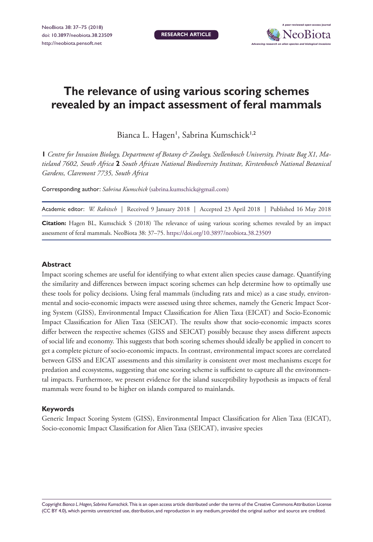**RESEARCH ARTICLE**



# **The relevance of using various scoring schemes revealed by an impact assessment of feral mammals**

Bianca L. Hagen', Sabrina Kumschick<sup>1,2</sup>

**1** *Centre for Invasion Biology, Department of Botany & Zoology, Stellenbosch University, Private Bag X1, Matieland 7602, South Africa* **2** *South African National Biodiversity Institute, Kirstenbosch National Botanical Gardens, Claremont 7735, South Africa*

Corresponding author: *Sabrina Kumschick* ([sabrina.kumschick@gmail.com\)](mailto:sabrina.kumschick@gmail.com)

|  |  |  |  | Academic editor: W. Rabitsch   Received 9 January 2018   Accepted 23 April 2018   Published 16 May 2018 |
|--|--|--|--|---------------------------------------------------------------------------------------------------------|
|--|--|--|--|---------------------------------------------------------------------------------------------------------|

**Citation:** Hagen BL, Kumschick S (2018) The relevance of using various scoring schemes revealed by an impact assessment of feral mammals. NeoBiota 38: 37–75. <https://doi.org/10.3897/neobiota.38.23509>

#### **Abstract**

Impact scoring schemes are useful for identifying to what extent alien species cause damage. Quantifying the similarity and differences between impact scoring schemes can help determine how to optimally use these tools for policy decisions. Using feral mammals (including rats and mice) as a case study, environmental and socio-economic impacts were assessed using three schemes, namely the Generic Impact Scoring System (GISS), Environmental Impact Classification for Alien Taxa (EICAT) and Socio-Economic Impact Classification for Alien Taxa (SEICAT). The results show that socio-economic impacts scores differ between the respective schemes (GISS and SEICAT) possibly because they assess different aspects of social life and economy. This suggests that both scoring schemes should ideally be applied in concert to get a complete picture of socio-economic impacts. In contrast, environmental impact scores are correlated between GISS and EICAT assessments and this similarity is consistent over most mechanisms except for predation and ecosystems, suggesting that one scoring scheme is sufficient to capture all the environmental impacts. Furthermore, we present evidence for the island susceptibility hypothesis as impacts of feral mammals were found to be higher on islands compared to mainlands.

#### **Keywords**

Generic Impact Scoring System (GISS), Environmental Impact Classification for Alien Taxa (EICAT), Socio-economic Impact Classification for Alien Taxa (SEICAT), invasive species

Copyright *Bianca L. Hagen, Sabrina Kumschick.* This is an open access article distributed under the terms of the [Creative Commons Attribution License](http://creativecommons.org/licenses/by/4.0/)  [\(CC BY 4.0\),](http://creativecommons.org/licenses/by/4.0/) which permits unrestricted use, distribution, and reproduction in any medium, provided the original author and source are credited.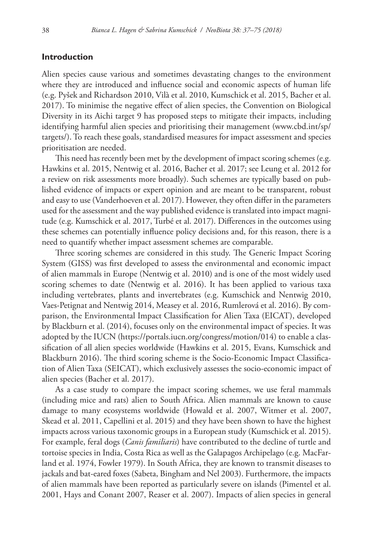#### **Introduction**

Alien species cause various and sometimes devastating changes to the environment where they are introduced and influence social and economic aspects of human life (e.g. Pyšek and Richardson 2010, Vilà et al. 2010, Kumschick et al. 2015, Bacher et al. 2017). To minimise the negative effect of alien species, the Convention on Biological Diversity in its Aichi target 9 has proposed steps to mitigate their impacts, including identifying harmful alien species and prioritising their management [\(www.cbd.int/sp/](http://www.cbd.int/sp/targets/) [targets/\)](http://www.cbd.int/sp/targets/). To reach these goals, standardised measures for impact assessment and species prioritisation are needed.

This need has recently been met by the development of impact scoring schemes (e.g. Hawkins et al. 2015, Nentwig et al. 2016, Bacher et al. 2017; see Leung et al. 2012 for a review on risk assessments more broadly). Such schemes are typically based on published evidence of impacts or expert opinion and are meant to be transparent, robust and easy to use (Vanderhoeven et al. 2017). However, they often differ in the parameters used for the assessment and the way published evidence is translated into impact magnitude (e.g. Kumschick et al. 2017, Turbé et al. 2017). Differences in the outcomes using these schemes can potentially influence policy decisions and, for this reason, there is a need to quantify whether impact assessment schemes are comparable.

Three scoring schemes are considered in this study. The Generic Impact Scoring System (GISS) was first developed to assess the environmental and economic impact of alien mammals in Europe (Nentwig et al. 2010) and is one of the most widely used scoring schemes to date (Nentwig et al. 2016). It has been applied to various taxa including vertebrates, plants and invertebrates (e.g. Kumschick and Nentwig 2010, Vaes-Petignat and Nentwig 2014, Measey et al. 2016, Rumlerová et al. 2016). By comparison, the Environmental Impact Classification for Alien Taxa (EICAT), developed by Blackburn et al. (2014), focuses only on the environmental impact of species. It was adopted by the IUCN [\(https://portals.iucn.org/congress/motion/014\)](https://portals.iucn.org/congress/motion/014) to enable a classification of all alien species worldwide (Hawkins et al. 2015, Evans, Kumschick and Blackburn 2016). The third scoring scheme is the Socio-Economic Impact Classification of Alien Taxa (SEICAT), which exclusively assesses the socio-economic impact of alien species (Bacher et al. 2017).

As a case study to compare the impact scoring schemes, we use feral mammals (including mice and rats) alien to South Africa. Alien mammals are known to cause damage to many ecosystems worldwide (Howald et al. 2007, Witmer et al. 2007, Skead et al. 2011, Capellini et al. 2015) and they have been shown to have the highest impacts across various taxonomic groups in a European study (Kumschick et al. 2015). For example, feral dogs (*Canis familiaris*) have contributed to the decline of turtle and tortoise species in India, Costa Rica as well as the Galapagos Archipelago (e.g. MacFarland et al. 1974, Fowler 1979). In South Africa, they are known to transmit diseases to jackals and bat-eared foxes (Sabeta, Bingham and Nel 2003). Furthermore, the impacts of alien mammals have been reported as particularly severe on islands (Pimentel et al. 2001, Hays and Conant 2007, Reaser et al. 2007). Impacts of alien species in general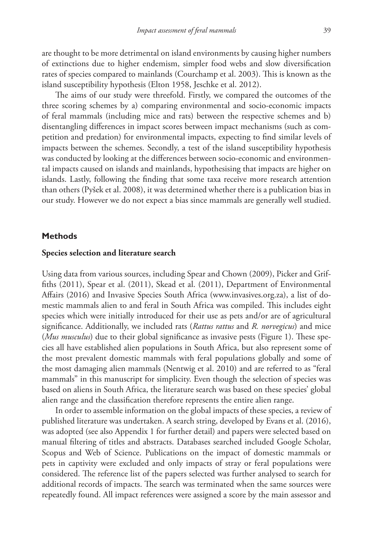are thought to be more detrimental on island environments by causing higher numbers of extinctions due to higher endemism, simpler food webs and slow diversification rates of species compared to mainlands (Courchamp et al. 2003). This is known as the island susceptibility hypothesis (Elton 1958, Jeschke et al. 2012).

The aims of our study were threefold. Firstly, we compared the outcomes of the three scoring schemes by a) comparing environmental and socio-economic impacts of feral mammals (including mice and rats) between the respective schemes and b) disentangling differences in impact scores between impact mechanisms (such as competition and predation) for environmental impacts, expecting to find similar levels of impacts between the schemes. Secondly, a test of the island susceptibility hypothesis was conducted by looking at the differences between socio-economic and environmental impacts caused on islands and mainlands, hypothesising that impacts are higher on islands. Lastly, following the finding that some taxa receive more research attention than others (Pyšek et al. 2008), it was determined whether there is a publication bias in our study. However we do not expect a bias since mammals are generally well studied.

#### **Methods**

#### **Species selection and literature search**

Using data from various sources, including Spear and Chown (2009), Picker and Griffiths (2011), Spear et al. (2011), Skead et al. (2011), Department of Environmental Affairs (2016) and Invasive Species South Africa ([www.invasives.org.za](http://www.invasives.org.za)), a list of domestic mammals alien to and feral in South Africa was compiled. This includes eight species which were initially introduced for their use as pets and/or are of agricultural significance. Additionally, we included rats (*Rattus rattus* and *R. norvegicus*) and mice (*Mus musculus*) due to their global significance as invasive pests (Figure 1). These species all have established alien populations in South Africa, but also represent some of the most prevalent domestic mammals with feral populations globally and some of the most damaging alien mammals (Nentwig et al. 2010) and are referred to as "feral mammals" in this manuscript for simplicity. Even though the selection of species was based on aliens in South Africa, the literature search was based on these species' global alien range and the classification therefore represents the entire alien range.

In order to assemble information on the global impacts of these species, a review of published literature was undertaken. A search string, developed by Evans et al. (2016), was adopted (see also Appendix 1 for further detail) and papers were selected based on manual filtering of titles and abstracts. Databases searched included Google Scholar, Scopus and Web of Science. Publications on the impact of domestic mammals or pets in captivity were excluded and only impacts of stray or feral populations were considered. The reference list of the papers selected was further analysed to search for additional records of impacts. The search was terminated when the same sources were repeatedly found. All impact references were assigned a score by the main assessor and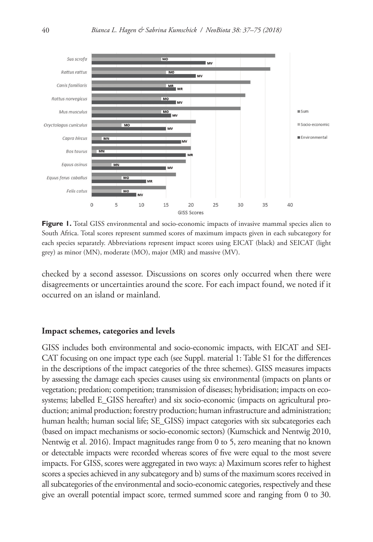

**Figure 1.** Total GISS environmental and socio-economic impacts of invasive mammal species alien to South Africa. Total scores represent summed scores of maximum impacts given in each subcategory for each species separately. Abbreviations represent impact scores using EICAT (black) and SEICAT (light grey) as minor (MN), moderate (MO), major (MR) and massive (MV).

checked by a second assessor. Discussions on scores only occurred when there were disagreements or uncertainties around the score. For each impact found, we noted if it occurred on an island or mainland.

#### **Impact schemes, categories and levels**

GISS includes both environmental and socio-economic impacts, with EICAT and SEI-CAT focusing on one impact type each (see Suppl. material 1: Table S1 for the differences in the descriptions of the impact categories of the three schemes). GISS measures impacts by assessing the damage each species causes using six environmental (impacts on plants or vegetation; predation; competition; transmission of diseases; hybridisation; impacts on ecosystems; labelled E\_GISS hereafter) and six socio-economic (impacts on agricultural production; animal production; forestry production; human infrastructure and administration; human health; human social life; SE\_GISS) impact categories with six subcategories each (based on impact mechanisms or socio-economic sectors) (Kumschick and Nentwig 2010, Nentwig et al. 2016). Impact magnitudes range from 0 to 5, zero meaning that no known or detectable impacts were recorded whereas scores of five were equal to the most severe impacts. For GISS, scores were aggregated in two ways: a) Maximum scores refer to highest scores a species achieved in any subcategory and b) sums of the maximum scores received in all subcategories of the environmental and socio-economic categories, respectively and these give an overall potential impact score, termed summed score and ranging from 0 to 30.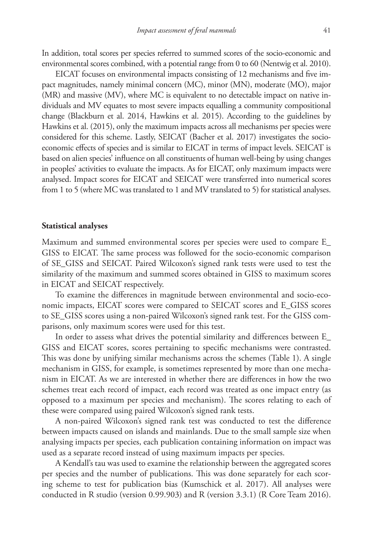In addition, total scores per species referred to summed scores of the socio-economic and environmental scores combined, with a potential range from 0 to 60 (Nentwig et al. 2010).

EICAT focuses on environmental impacts consisting of 12 mechanisms and five impact magnitudes, namely minimal concern (MC), minor (MN), moderate (MO), major (MR) and massive (MV), where MC is equivalent to no detectable impact on native individuals and MV equates to most severe impacts equalling a community compositional change (Blackburn et al. 2014, Hawkins et al. 2015). According to the guidelines by Hawkins et al. (2015), only the maximum impacts across all mechanisms per species were considered for this scheme. Lastly, SEICAT (Bacher et al. 2017) investigates the socioeconomic effects of species and is similar to EICAT in terms of impact levels. SEICAT is based on alien species' influence on all constituents of human well-being by using changes in peoples' activities to evaluate the impacts. As for EICAT, only maximum impacts were analysed. Impact scores for EICAT and SEICAT were transferred into numerical scores from 1 to 5 (where MC was translated to 1 and MV translated to 5) for statistical analyses.

#### **Statistical analyses**

Maximum and summed environmental scores per species were used to compare E\_ GISS to EICAT. The same process was followed for the socio-economic comparison of SE\_GISS and SEICAT. Paired Wilcoxon's signed rank tests were used to test the similarity of the maximum and summed scores obtained in GISS to maximum scores in EICAT and SEICAT respectively.

To examine the differences in magnitude between environmental and socio-economic impacts, EICAT scores were compared to SEICAT scores and E\_GISS scores to SE\_GISS scores using a non-paired Wilcoxon's signed rank test. For the GISS comparisons, only maximum scores were used for this test.

In order to assess what drives the potential similarity and differences between E\_ GISS and EICAT scores, scores pertaining to specific mechanisms were contrasted. This was done by unifying similar mechanisms across the schemes (Table 1). A single mechanism in GISS, for example, is sometimes represented by more than one mechanism in EICAT. As we are interested in whether there are differences in how the two schemes treat each record of impact, each record was treated as one impact entry (as opposed to a maximum per species and mechanism). The scores relating to each of these were compared using paired Wilcoxon's signed rank tests.

A non-paired Wilcoxon's signed rank test was conducted to test the difference between impacts caused on islands and mainlands. Due to the small sample size when analysing impacts per species, each publication containing information on impact was used as a separate record instead of using maximum impacts per species.

A Kendall's tau was used to examine the relationship between the aggregated scores per species and the number of publications. This was done separately for each scoring scheme to test for publication bias (Kumschick et al. 2017). All analyses were conducted in R studio (version 0.99.903) and R (version 3.3.1) (R Core Team 2016).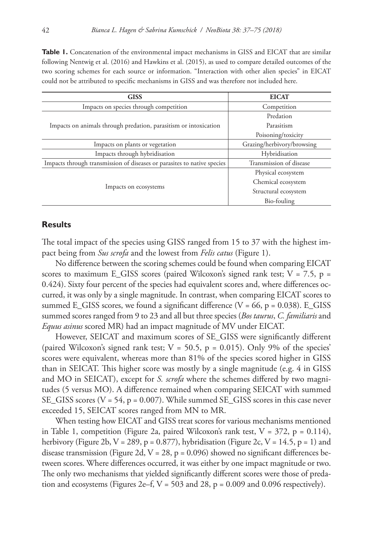**Table 1.** Concatenation of the environmental impact mechanisms in GISS and EICAT that are similar following Nentwig et al. (2016) and Hawkins et al. (2015), as used to compare detailed outcomes of the two scoring schemes for each source or information. "Interaction with other alien species" in EICAT could not be attributed to specific mechanisms in GISS and was therefore not included here.

| <b>GISS</b>                                                             | <b>EICAT</b>               |  |
|-------------------------------------------------------------------------|----------------------------|--|
| Impacts on species through competition                                  | Competition                |  |
|                                                                         | Predation                  |  |
| Impacts on animals through predation, parasitism or intoxication        | Parasitism                 |  |
|                                                                         | Poisoning/toxicity         |  |
| Impacts on plants or vegetation                                         | Grazing/herbivory/browsing |  |
| Impacts through hybridisation                                           | Hybridisation              |  |
| Impacts through transmission of diseases or parasites to native species | Transmission of disease    |  |
|                                                                         | Physical ecosystem         |  |
|                                                                         | Chemical ecosystem         |  |
| Impacts on ecosystems                                                   | Structural ecosystem       |  |
|                                                                         | Bio-fouling                |  |

### **Results**

The total impact of the species using GISS ranged from 15 to 37 with the highest impact being from *Sus scrofa* and the lowest from *Felis catus* (Figure 1).

No difference between the scoring schemes could be found when comparing EICAT scores to maximum E\_GISS scores (paired Wilcoxon's signed rank test;  $V = 7.5$ , p = 0.424). Sixty four percent of the species had equivalent scores and, where differences occurred, it was only by a single magnitude. In contrast, when comparing EICAT scores to summed E\_GISS scores, we found a significant difference ( $V = 66$ ,  $p = 0.038$ ). E\_GISS summed scores ranged from 9 to 23 and all but three species (*Bos taurus*, *C. familiaris* and *Equus asinus* scored MR) had an impact magnitude of MV under EICAT.

However, SEICAT and maximum scores of SE\_GISS were significantly different (paired Wilcoxon's signed rank test;  $V = 50.5$ ,  $p = 0.015$ ). Only 9% of the species' scores were equivalent, whereas more than 81% of the species scored higher in GISS than in SEICAT. This higher score was mostly by a single magnitude (e.g. 4 in GISS and MO in SEICAT), except for *S. scrofa* where the schemes differed by two magnitudes (5 versus MO). A difference remained when comparing SEICAT with summed SE\_GISS scores ( $V = 54$ ,  $p = 0.007$ ). While summed SE\_GISS scores in this case never exceeded 15, SEICAT scores ranged from MN to MR.

When testing how EICAT and GISS treat scores for various mechanisms mentioned in Table 1, competition (Figure 2a, paired Wilcoxon's rank test,  $V = 372$ ,  $p = 0.114$ ), herbivory (Figure 2b,  $V = 289$ ,  $p = 0.877$ ), hybridisation (Figure 2c,  $V = 14.5$ ,  $p = 1$ ) and disease transmission (Figure 2d,  $V = 28$ ,  $p = 0.096$ ) showed no significant differences between scores. Where differences occurred, it was either by one impact magnitude or two. The only two mechanisms that yielded significantly different scores were those of predation and ecosystems (Figures 2e–f,  $V = 503$  and 28,  $p = 0.009$  and 0.096 respectively).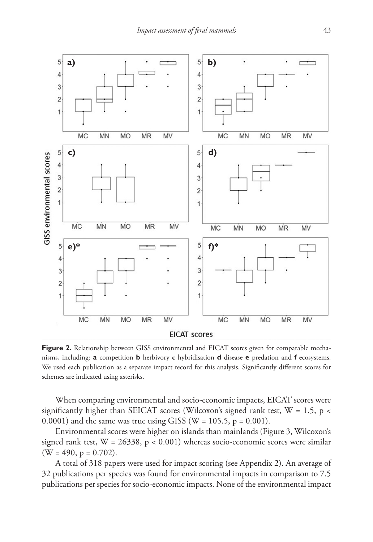

**Figure 2.** Relationship between GISS environmental and EICAT scores given for comparable mechanisms, including: **a** competition **b** herbivory **c** hybridisation **d** disease **e** predation and **f** ecosystems. We used each publication as a separate impact record for this analysis. Significantly different scores for schemes are indicated using asterisks.

When comparing environmental and socio-economic impacts, EICAT scores were significantly higher than SEICAT scores (Wilcoxon's signed rank test,  $W = 1.5$ , p < 0.0001) and the same was true using GISS ( $W = 105.5$ ,  $p = 0.001$ ).

Environmental scores were higher on islands than mainlands (Figure 3, Wilcoxon's signed rank test,  $W = 26338$ ,  $p < 0.001$ ) whereas socio-economic scores were similar  $(W = 490, p = 0.702)$ .

A total of 318 papers were used for impact scoring (see Appendix 2). An average of 32 publications per species was found for environmental impacts in comparison to 7.5 publications per species for socio-economic impacts. None of the environmental impact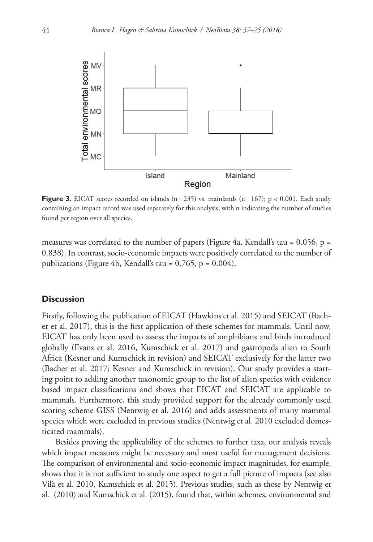

**Figure 3.** EICAT scores recorded on islands (n= 235) vs. mainlands (n= 167);  $p < 0.001$ . Each study containing an impact record was used separately for this analysis, with n indicating the number of studies found per region over all species.

measures was correlated to the number of papers (Figure 4a, Kendall's tau =  $0.056$ , p = 0.838). In contrast, socio-economic impacts were positively correlated to the number of publications (Figure 4b, Kendall's tau =  $0.765$ , p =  $0.004$ ).

### **Discussion**

Firstly, following the publication of EICAT (Hawkins et al. 2015) and SEICAT (Bacher et al. 2017), this is the first application of these schemes for mammals. Until now, EICAT has only been used to assess the impacts of amphibians and birds introduced globally (Evans et al. 2016, Kumschick et al. 2017) and gastropods alien to South Africa (Kesner and Kumschick in revision) and SEICAT exclusively for the latter two (Bacher et al. 2017; Kesner and Kumschick in revision). Our study provides a starting point to adding another taxonomic group to the list of alien species with evidence based impact classifications and shows that EICAT and SEICAT are applicable to mammals. Furthermore, this study provided support for the already commonly used scoring scheme GISS (Nentwig et al. 2016) and adds assessments of many mammal species which were excluded in previous studies (Nentwig et al. 2010 excluded domesticated mammals).

Besides proving the applicability of the schemes to further taxa, our analysis reveals which impact measures might be necessary and most useful for management decisions. The comparison of environmental and socio-economic impact magnitudes, for example, shows that it is not sufficient to study one aspect to get a full picture of impacts (see also Vilà et al. 2010, Kumschick et al. 2015). Previous studies, such as those by Nentwig et al. (2010) and Kumschick et al. (2015), found that, within schemes, environmental and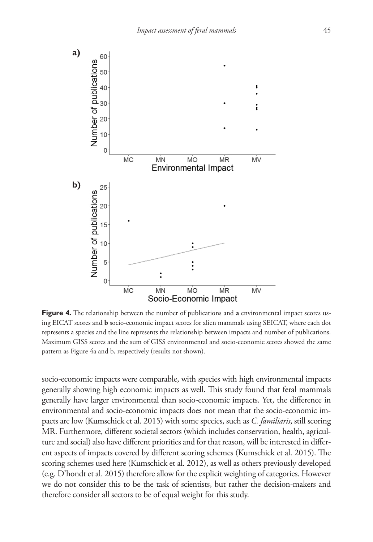

**Figure 4.** The relationship between the number of publications and **a** environmental impact scores using EICAT scores and **b** socio-economic impact scores for alien mammals using SEICAT, where each dot represents a species and the line represents the relationship between impacts and number of publications. Maximum GISS scores and the sum of GISS environmental and socio-economic scores showed the same pattern as Figure 4a and b, respectively (results not shown).

socio-economic impacts were comparable, with species with high environmental impacts generally showing high economic impacts as well. This study found that feral mammals generally have larger environmental than socio-economic impacts. Yet, the difference in environmental and socio-economic impacts does not mean that the socio-economic impacts are low (Kumschick et al. 2015) with some species, such as *C. familiaris*, still scoring MR. Furthermore, different societal sectors (which includes conservation, health, agriculture and social) also have different priorities and for that reason, will be interested in different aspects of impacts covered by different scoring schemes (Kumschick et al. 2015). The scoring schemes used here (Kumschick et al. 2012), as well as others previously developed (e.g. D'hondt et al. 2015) therefore allow for the explicit weighting of categories. However we do not consider this to be the task of scientists, but rather the decision-makers and therefore consider all sectors to be of equal weight for this study.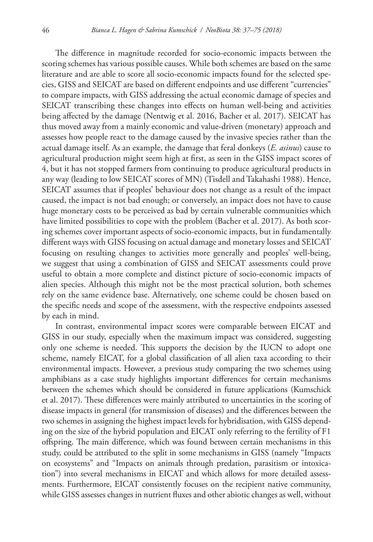The difference in magnitude recorded for socio-economic impacts between the scoring schemes has various possible causes. While both schemes are based on the same literature and are able to score all socio-economic impacts found for the selected species, GISS and SEICAT are based on different endpoints and use different "currencies" to compare impacts, with GISS addressing the actual economic damage of species and SEICAT transcribing these changes into effects on human well-being and activities being affected by the damage (Nentwig et al. 2016, Bacher et al. 2017). SEICAT has thus moved away from a mainly economic and value-driven (monetary) approach and assesses how people react to the damage caused by the invasive species rather than the actual damage itself. As an example, the damage that feral donkeys (*E. asinus*) cause to agricultural production might seem high at first, as seen in the GISS impact scores of 4, but it has not stopped farmers from continuing to produce agricultural products in any way (leading to low SEICAT scores of MN) (Tisdell and Takahashi 1988). Hence, SEICAT assumes that if peoples' behaviour does not change as a result of the impact caused, the impact is not bad enough; or conversely, an impact does not have to cause huge monetary costs to be perceived as bad by certain vulnerable communities which have limited possibilities to cope with the problem (Bacher et al. 2017). As both scoring schemes cover important aspects of socio-economic impacts, but in fundamentally different ways with GISS focusing on actual damage and monetary losses and SEICAT focusing on resulting changes to activities more generally and peoples' well-being, we suggest that using a combination of GISS and SEICAT assessments could prove useful to obtain a more complete and distinct picture of socio-economic impacts of alien species. Although this might not be the most practical solution, both schemes rely on the same evidence base. Alternatively, one scheme could be chosen based on the specific needs and scope of the assessment, with the respective endpoints assessed by each in mind.

In contrast, environmental impact scores were comparable between EICAT and GISS in our study, especially when the maximum impact was considered, suggesting only one scheme is needed. This supports the decision by the IUCN to adopt one scheme, namely EICAT, for a global classification of all alien taxa according to their environmental impacts. However, a previous study comparing the two schemes using amphibians as a case study highlights important differences for certain mechanisms between the schemes which should be considered in future applications (Kumschick et al. 2017). These differences were mainly attributed to uncertainties in the scoring of disease impacts in general (for transmission of diseases) and the differences between the two schemes in assigning the highest impact levels for hybridisation, with GISS depending on the size of the hybrid population and EICAT only referring to the fertility of F1 offspring. The main difference, which was found between certain mechanisms in this study, could be attributed to the split in some mechanisms in GISS (namely "Impacts on ecosystems" and "Impacts on animals through predation, parasitism or intoxication") into several mechanisms in EICAT and which allows for more detailed assessments. Furthermore, EICAT consistently focuses on the recipient native community, while GISS assesses changes in nutrient fluxes and other abiotic changes as well, without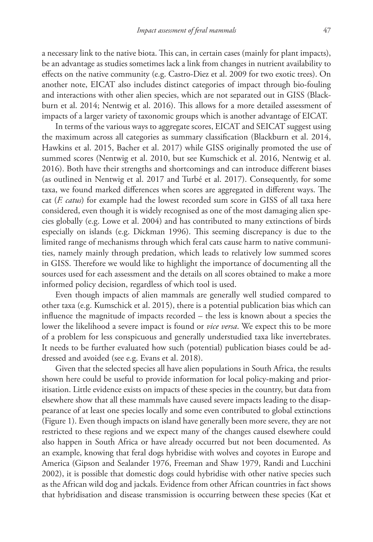a necessary link to the native biota. This can, in certain cases (mainly for plant impacts), be an advantage as studies sometimes lack a link from changes in nutrient availability to effects on the native community (e.g. Castro-Diez et al. 2009 for two exotic trees). On another note, EICAT also includes distinct categories of impact through bio-fouling and interactions with other alien species, which are not separated out in GISS (Blackburn et al. 2014; Nentwig et al. 2016). This allows for a more detailed assessment of impacts of a larger variety of taxonomic groups which is another advantage of EICAT.

In terms of the various ways to aggregate scores, EICAT and SEICAT suggest using the maximum across all categories as summary classification (Blackburn et al. 2014, Hawkins et al. 2015, Bacher et al. 2017) while GISS originally promoted the use of summed scores (Nentwig et al. 2010, but see Kumschick et al. 2016, Nentwig et al. 2016). Both have their strengths and shortcomings and can introduce different biases (as outlined in Nentwig et al. 2017 and Turbé et al. 2017). Consequently, for some taxa, we found marked differences when scores are aggregated in different ways. The cat (*F. catus*) for example had the lowest recorded sum score in GISS of all taxa here considered, even though it is widely recognised as one of the most damaging alien species globally (e.g. Lowe et al. 2004) and has contributed to many extinctions of birds especially on islands (e.g. Dickman 1996). This seeming discrepancy is due to the limited range of mechanisms through which feral cats cause harm to native communities, namely mainly through predation, which leads to relatively low summed scores in GISS. Therefore we would like to highlight the importance of documenting all the sources used for each assessment and the details on all scores obtained to make a more informed policy decision, regardless of which tool is used.

Even though impacts of alien mammals are generally well studied compared to other taxa (e.g. Kumschick et al. 2015), there is a potential publication bias which can influence the magnitude of impacts recorded – the less is known about a species the lower the likelihood a severe impact is found or *vice versa*. We expect this to be more of a problem for less conspicuous and generally understudied taxa like invertebrates. It needs to be further evaluated how such (potential) publication biases could be addressed and avoided (see e.g. Evans et al. 2018).

Given that the selected species all have alien populations in South Africa, the results shown here could be useful to provide information for local policy-making and prioritisation. Little evidence exists on impacts of these species in the country, but data from elsewhere show that all these mammals have caused severe impacts leading to the disappearance of at least one species locally and some even contributed to global extinctions (Figure 1). Even though impacts on island have generally been more severe, they are not restricted to these regions and we expect many of the changes caused elsewhere could also happen in South Africa or have already occurred but not been documented. As an example, knowing that feral dogs hybridise with wolves and coyotes in Europe and America (Gipson and Sealander 1976, Freeman and Shaw 1979, Randi and Lucchini 2002), it is possible that domestic dogs could hybridise with other native species such as the African wild dog and jackals. Evidence from other African countries in fact shows that hybridisation and disease transmission is occurring between these species (Kat et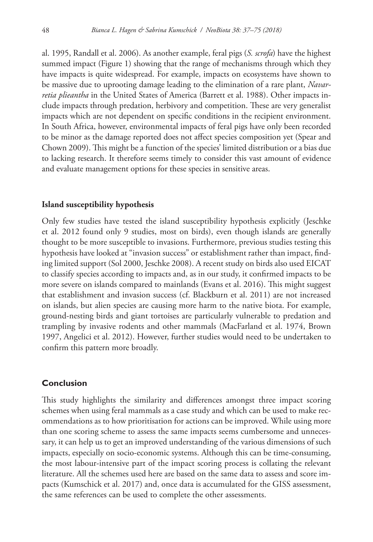al. 1995, Randall et al. 2006). As another example, feral pigs (*S. scrofa*) have the highest summed impact (Figure 1) showing that the range of mechanisms through which they have impacts is quite widespread. For example, impacts on ecosystems have shown to be massive due to uprooting damage leading to the elimination of a rare plant, *Navarretia plieantha* in the United States of America (Barrett et al. 1988). Other impacts include impacts through predation, herbivory and competition. These are very generalist impacts which are not dependent on specific conditions in the recipient environment. In South Africa, however, environmental impacts of feral pigs have only been recorded to be minor as the damage reported does not affect species composition yet (Spear and Chown 2009). This might be a function of the species' limited distribution or a bias due to lacking research. It therefore seems timely to consider this vast amount of evidence and evaluate management options for these species in sensitive areas.

#### **Island susceptibility hypothesis**

Only few studies have tested the island susceptibility hypothesis explicitly (Jeschke et al. 2012 found only 9 studies, most on birds), even though islands are generally thought to be more susceptible to invasions. Furthermore, previous studies testing this hypothesis have looked at "invasion success" or establishment rather than impact, finding limited support (Sol 2000, Jeschke 2008). A recent study on birds also used EICAT to classify species according to impacts and, as in our study, it confirmed impacts to be more severe on islands compared to mainlands (Evans et al. 2016). This might suggest that establishment and invasion success (cf. Blackburn et al. 2011) are not increased on islands, but alien species are causing more harm to the native biota. For example, ground-nesting birds and giant tortoises are particularly vulnerable to predation and trampling by invasive rodents and other mammals (MacFarland et al. 1974, Brown 1997, Angelici et al. 2012). However, further studies would need to be undertaken to confirm this pattern more broadly.

### **Conclusion**

This study highlights the similarity and differences amongst three impact scoring schemes when using feral mammals as a case study and which can be used to make recommendations as to how prioritisation for actions can be improved. While using more than one scoring scheme to assess the same impacts seems cumbersome and unnecessary, it can help us to get an improved understanding of the various dimensions of such impacts, especially on socio-economic systems. Although this can be time-consuming, the most labour-intensive part of the impact scoring process is collating the relevant literature. All the schemes used here are based on the same data to assess and score impacts (Kumschick et al. 2017) and, once data is accumulated for the GISS assessment, the same references can be used to complete the other assessments.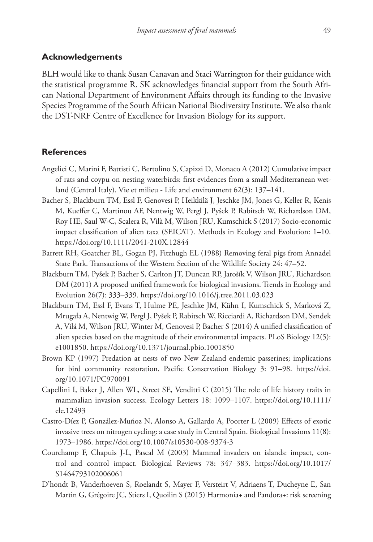#### **Acknowledgements**

BLH would like to thank Susan Canavan and Staci Warrington for their guidance with the statistical programme R. SK acknowledges financial support from the South African National Department of Environment Affairs through its funding to the Invasive Species Programme of the South African National Biodiversity Institute. We also thank the DST-NRF Centre of Excellence for Invasion Biology for its support.

#### **References**

- Angelici C, Marini F, Battisti C, Bertolino S, Capizzi D, Monaco A (2012) Cumulative impact of rats and coypu on nesting waterbirds: first evidences from a small Mediterranean wetland (Central Italy). Vie et milieu - Life and environment 62(3): 137–141.
- Bacher S, Blackburn TM, Essl F, Genovesi P, Heikkilä J, Jeschke JM, Jones G, Keller R, Kenis M, Kueffer C, Martinou AF, Nentwig W, Pergl J, Pyšek P, Rabitsch W, Richardson DM, Roy HE, Saul W-C, Scalera R, Vilà M, Wilson JRU, Kumschick S (2017) Socio-economic impact classification of alien taxa (SEICAT). Methods in Ecology and Evolution: 1–10. <https://doi.org/10.1111/2041-210X.12844>
- Barrett RH, Goatcher BL, Gogan PJ, Fitzhugh EL (1988) Removing feral pigs from Annadel State Park. Transactions of the Western Section of the Wildlife Society 24: 47–52.
- Blackburn TM, Pyšek P, Bacher S, Carlton JT, Duncan RP, Jarošík V, Wilson JRU, Richardson DM (2011) A proposed unified framework for biological invasions. Trends in Ecology and Evolution 26(7): 333–339.<https://doi.org/10.1016/j.tree.2011.03.023>
- Blackburn TM, Essl F, Evans T, Hulme PE, Jeschke JM, Kühn I, Kumschick S, Marková Z, Mrugała A, Nentwig W, Pergl J, Pyšek P, Rabitsch W, Ricciardi A, Richardson DM, Sendek A, Vilá M, Wilson JRU, Winter M, Genovesi P, Bacher S (2014) A unified classification of alien species based on the magnitude of their environmental impacts. PLoS Biology 12(5): e1001850.<https://doi.org/10.1371/journal.pbio.1001850>
- Brown KP (1997) Predation at nests of two New Zealand endemic passerines; implications for bird community restoration. Pacific Conservation Biology 3: 91–98. [https://doi.](https://doi.org/10.1071/PC970091) [org/10.1071/PC970091](https://doi.org/10.1071/PC970091)
- Capellini I, Baker J, Allen WL, Street SE, Venditti C (2015) The role of life history traits in mammalian invasion success. Ecology Letters 18: 1099–1107. [https://doi.org/10.1111/](https://doi.org/10.1111/ele.12493) [ele.12493](https://doi.org/10.1111/ele.12493)
- Castro-Díez P, González-Muñoz N, Alonso A, Gallardo A, Poorter L (2009) Effects of exotic invasive trees on nitrogen cycling: a case study in Central Spain. Biological Invasions 11(8): 1973–1986.<https://doi.org/10.1007/s10530-008-9374-3>
- Courchamp F, Chapuis J-L, Pascal M (2003) Mammal invaders on islands: impact, control and control impact. Biological Reviews 78: 347–383. [https://doi.org/10.1017/](https://doi.org/10.1017/S1464793102006061) [S1464793102006061](https://doi.org/10.1017/S1464793102006061)
- D'hondt B, Vanderhoeven S, Roelandt S, Mayer F, Versteirt V, Adriaens T, Ducheyne E, San Martin G, Grégoire JC, Stiers I, Quoilin S (2015) Harmonia+ and Pandora+: risk screening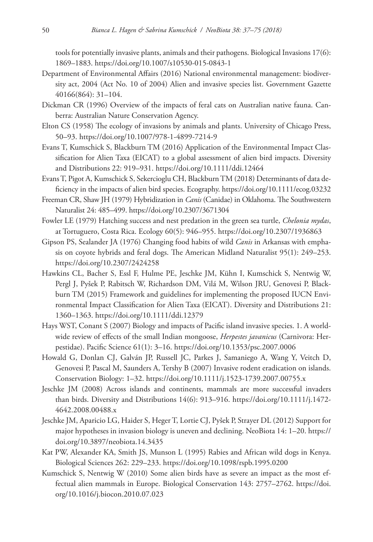tools for potentially invasive plants, animals and their pathogens. Biological Invasions 17(6): 1869–1883. <https://doi.org/10.1007/s10530-015-0843-1>

- Department of Environmental Affairs (2016) National environmental management: biodiversity act, 2004 (Act No. 10 of 2004) Alien and invasive species list. Government Gazette 40166(864): 31–104.
- Dickman CR (1996) Overview of the impacts of feral cats on Australian native fauna. Canberra: Australian Nature Conservation Agency.
- Elton CS (1958) The ecology of invasions by animals and plants. University of Chicago Press, 50–93.<https://doi.org/10.1007/978-1-4899-7214-9>
- Evans T, Kumschick S, Blackburn TM (2016) Application of the Environmental Impact Classification for Alien Taxa (EICAT) to a global assessment of alien bird impacts. Diversity and Distributions 22: 919–931.<https://doi.org/10.1111/ddi.12464>
- Evans T, Pigot A, Kumschick S, Sekercioglu CH, Blackburn TM (2018) Determinants of data deficiency in the impacts of alien bird species. Ecography.<https://doi.org/10.1111/ecog.03232>
- Freeman CR, Shaw JH (1979) Hybridization in *Canis* (Canidae) in Oklahoma. The Southwestern Naturalist 24: 485–499. <https://doi.org/10.2307/3671304>
- Fowler LE (1979) Hatching success and nest predation in the green sea turtle, *Chelonia mydas*, at Tortuguero, Costa Rica. Ecology 60(5): 946–955. <https://doi.org/10.2307/1936863>
- Gipson PS, Sealander JA (1976) Changing food habits of wild *Canis* in Arkansas with emphasis on coyote hybrids and feral dogs. The American Midland Naturalist 95(1): 249–253. <https://doi.org/10.2307/2424258>
- Hawkins CL, Bacher S, Essl F, Hulme PE, Jeschke JM, Kühn I, Kumschick S, Nentwig W, Pergl J, Pyšek P, Rabitsch W, Richardson DM, Vilá M, Wilson JRU, Genovesi P, Blackburn TM (2015) Framework and guidelines for implementing the proposed IUCN Environmental Impact Classification for Alien Taxa (EICAT). Diversity and Distributions 21: 1360–1363.<https://doi.org/10.1111/ddi.12379>
- Hays WST, Conant S (2007) Biology and impacts of Pacific island invasive species. 1. A worldwide review of effects of the small Indian mongoose, *Herpestes javanicus* (Carnivora: Herpestidae). Pacific Science 61(1): 3–16. <https://doi.org/10.1353/psc.2007.0006>
- Howald G, Donlan CJ, Galván JP, Russell JC, Parkes J, Samaniego A, Wang Y, Veitch D, Genovesi P, Pascal M, Saunders A, Tershy B (2007) Invasive rodent eradication on islands. Conservation Biology: 1–32.<https://doi.org/10.1111/j.1523-1739.2007.00755.x>
- Jeschke JM (2008) Across islands and continents, mammals are more successful invaders than birds. Diversity and Distributions 14(6): 913–916. [https://doi.org/10.1111/j.1472-](https://doi.org/10.1111/j.1472-4642.2008.00488.x) [4642.2008.00488.x](https://doi.org/10.1111/j.1472-4642.2008.00488.x)
- Jeschke JM, Aparicio LG, Haider S, Heger T, Lortie CJ, Pyšek P, Strayer DL (2012) Support for major hypotheses in invasion biology is uneven and declining. NeoBiota 14: 1–20. [https://](https://doi.org/10.3897/neobiota.14.3435) [doi.org/10.3897/neobiota.14.3435](https://doi.org/10.3897/neobiota.14.3435)
- Kat PW, Alexander KA, Smith JS, Munson L (1995) Rabies and African wild dogs in Kenya. Biological Sciences 262: 229–233. <https://doi.org/10.1098/rspb.1995.0200>
- Kumschick S, Nentwig W (2010) Some alien birds have as severe an impact as the most effectual alien mammals in Europe. Biological Conservation 143: 2757–2762. [https://doi.](https://doi.org/10.1016/j.biocon.2010.07.023) [org/10.1016/j.biocon.2010.07.023](https://doi.org/10.1016/j.biocon.2010.07.023)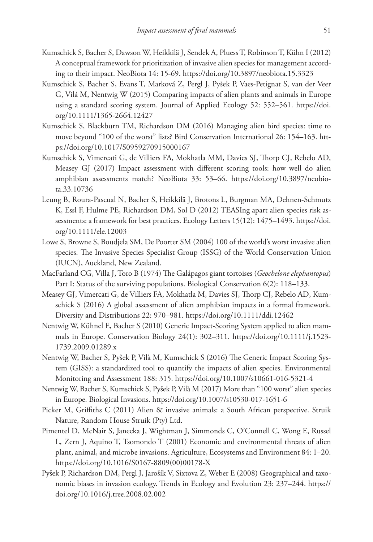- Kumschick S, Bacher S, Dawson W, Heikkilä J, Sendek A, Pluess T, Robinson T, Kühn I (2012) A conceptual framework for prioritization of invasive alien species for management according to their impact. NeoBiota 14: 15-69.<https://doi.org/10.3897/neobiota.15.3323>
- Kumschick S, Bacher S, Evans T, Marková Z, Pergl J, Pyšek P, Vaes-Petignat S, van der Veer G, Vilá M, Nentwig W (2015) Comparing impacts of alien plants and animals in Europe using a standard scoring system. Journal of Applied Ecology 52: 552–561. [https://doi.](https://doi.org/10.1111/1365-2664.12427) [org/10.1111/1365-2664.12427](https://doi.org/10.1111/1365-2664.12427)
- Kumschick S, Blackburn TM, Richardson DM (2016) Managing alien bird species: time to move beyond "100 of the worst" lists? Bird Conservation International 26: 154–163. [htt](https://doi.org/10.1017/S0959270915000167)[ps://doi.org/10.1017/S0959270915000167](https://doi.org/10.1017/S0959270915000167)
- Kumschick S, Vimercati G, de Villiers FA, Mokhatla MM, Davies SJ, Thorp CJ, Rebelo AD, Measey GJ (2017) Impact assessment with different scoring tools: how well do alien amphibian assessments match? NeoBiota 33: 53–66. [https://doi.org/10.3897/neobio](https://doi.org/10.3897/neobiota.33.10736)[ta.33.10736](https://doi.org/10.3897/neobiota.33.10736)
- Leung B, Roura‐Pascual N, Bacher S, Heikkilä J, Brotons L, Burgman MA, Dehnen‐Schmutz K, Essl F, Hulme PE, Richardson DM, Sol D (2012) TEASIng apart alien species risk assessments: a framework for best practices. Ecology Letters 15(12): 1475–1493. [https://doi.](https://doi.org/10.1111/ele.12003) [org/10.1111/ele.12003](https://doi.org/10.1111/ele.12003)
- Lowe S, Browne S, Boudjela SM, De Poorter SM (2004) 100 of the world's worst invasive alien species. The Invasive Species Specialist Group (ISSG) of the World Conservation Union (IUCN), Auckland, New Zealand.
- MacFarland CG, Villa J, Toro B (1974) The Galápagos giant tortoises (*Geochelone elephantopus*) Part I: Status of the surviving populations. Biological Conservation 6(2): 118–133.
- Measey GJ, Vimercati G, de Villiers FA, Mokhatla M, Davies SJ, Thorp CJ, Rebelo AD, Kumschick S (2016) A global assessment of alien amphibian impacts in a formal framework. Diversity and Distributions 22: 970–981. <https://doi.org/10.1111/ddi.12462>
- Nentwig W, Kühnel E, Bacher S (2010) Generic Impact-Scoring System applied to alien mammals in Europe. Conservation Biology 24(1): 302–311. [https://doi.org/10.1111/j.1523-](https://doi.org/10.1111/j.1523-1739.2009.01289.x) [1739.2009.01289.x](https://doi.org/10.1111/j.1523-1739.2009.01289.x)
- Nentwig W, Bacher S, Pyšek P, Vilà M, Kumschick S (2016) The Generic Impact Scoring System (GISS): a standardized tool to quantify the impacts of alien species. Environmental Monitoring and Assessment 188: 315. <https://doi.org/10.1007/s10661-016-5321-4>
- Nentwig W, Bacher S, Kumschick S, Pyšek P, Vilà M (2017) More than "100 worst" alien species in Europe. Biological Invasions.<https://doi.org/10.1007/s10530-017-1651-6>
- Picker M, Griffiths C (2011) Alien & invasive animals: a South African perspective. Struik Nature, Random House Struik (Pty) Ltd.
- Pimentel D, McNair S, Janecka J, Wightman J, Simmonds C, O'Connell C, Wong E, Russel L, Zern J, Aquino T, Tsomondo T (2001) Economic and environmental threats of alien plant, animal, and microbe invasions. Agriculture, Ecosystems and Environment 84: 1–20. [https://doi.org/10.1016/S0167-8809\(00\)00178-X](https://doi.org/10.1016/S0167-8809(00)00178-X)
- Pyšek P, Richardson DM, Pergl J, Jarošík V, Sixtova Z, Weber E (2008) Geographical and taxonomic biases in invasion ecology. Trends in Ecology and Evolution 23: 237–244. [https://](https://doi.org/10.1016/j.tree.2008.02.002) [doi.org/10.1016/j.tree.2008.02.002](https://doi.org/10.1016/j.tree.2008.02.002)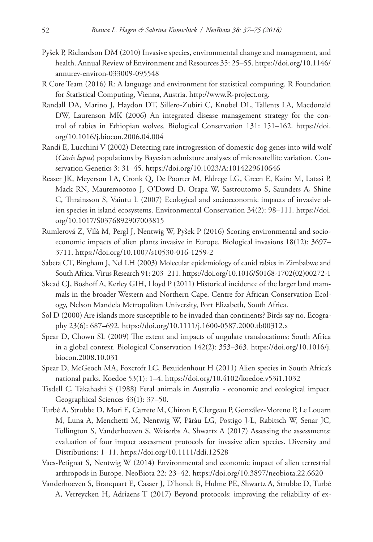- Pyšek P, Richardson DM (2010) Invasive species, environmental change and management, and health. Annual Review of Environment and Resources 35: 25–55. [https://doi.org/10.1146/](https://doi.org/10.1146/annurev-environ-033009-095548) [annurev-environ-033009-095548](https://doi.org/10.1146/annurev-environ-033009-095548)
- R Core Team (2016) R: A language and environment for statistical computing. R Foundation for Statistical Computing, Vienna, Austria. <http://www.R-project.org>.
- Randall DA, Marino J, Haydon DT, Sillero-Zubiri C, Knobel DL, Tallents LA, Macdonald DW, Laurenson MK (2006) An integrated disease management strategy for the control of rabies in Ethiopian wolves. Biological Conservation 131: 151–162. [https://doi.](https://doi.org/10.1016/j.biocon.2006.04.004) [org/10.1016/j.biocon.2006.04.004](https://doi.org/10.1016/j.biocon.2006.04.004)
- Randi E, Lucchini V (2002) Detecting rare introgression of domestic dog genes into wild wolf (*Canis lupus*) populations by Bayesian admixture analyses of microsatellite variation. Conservation Genetics 3: 31–45. <https://doi.org/10.1023/A:1014229610646>
- Reaser JK, Meyerson LA, Cronk Q, De Poorter M, Eldrege LG, Green E, Kairo M, Latasi P, Mack RN, Mauremootoo J, O'Dowd D, Orapa W, Sastroutomo S, Saunders A, Shine C, Thrainsson S, Vaiutu L (2007) Ecological and socioeconomic impacts of invasive alien species in island ecosystems. Environmental Conservation 34(2): 98–111. [https://doi.](https://doi.org/10.1017/S0376892907003815) [org/10.1017/S0376892907003815](https://doi.org/10.1017/S0376892907003815)
- Rumlerová Z, Vilà M, Pergl J, Nentwig W, Pyšek P (2016) Scoring environmental and socioeconomic impacts of alien plants invasive in Europe. Biological invasions 18(12): 3697– 3711.<https://doi.org/10.1007/s10530-016-1259-2>
- Sabeta CT, Bingham J, Nel LH (2003) Molecular epidemiology of canid rabies in Zimbabwe and South Africa. Virus Research 91: 203–211. [https://doi.org/10.1016/S0168-1702\(02\)00272-1](https://doi.org/10.1016/S0168-1702(02)00272-1)
- Skead CJ, Boshoff A, Kerley GIH, Lloyd P (2011) Historical incidence of the larger land mammals in the broader Western and Northern Cape. Centre for African Conservation Ecology, Nelson Mandela Metropolitan University, Port Elizabeth, South Africa.
- Sol D (2000) Are islands more susceptible to be invaded than continents? Birds say no. Ecography 23(6): 687–692. <https://doi.org/10.1111/j.1600-0587.2000.tb00312.x>
- Spear D, Chown SL (2009) The extent and impacts of ungulate translocations: South Africa in a global context. Biological Conservation 142(2): 353–363. [https://doi.org/10.1016/j.](https://doi.org/10.1016/j.biocon.2008.10.031) [biocon.2008.10.031](https://doi.org/10.1016/j.biocon.2008.10.031)
- Spear D, McGeoch MA, Foxcroft LC, Bezuidenhout H (2011) Alien species in South Africa's national parks. Koedoe 53(1): 1–4.<https://doi.org/10.4102/koedoe.v53i1.1032>
- Tisdell C, Takahashi S (1988) Feral animals in Australia economic and ecological impact. Geographical Sciences 43(1): 37–50.
- Turbé A, Strubbe D, Mori E, Carrete M, Chiron F, Clergeau P, González-Moreno P, Le Louarn M, Luna A, Menchetti M, Nentwig W, Pârâu LG, Postigo J-L, Rabitsch W, Senar JC, Tollington S, Vanderhoeven S, Weiserbs A, Shwartz A (2017) Assessing the assessments: evaluation of four impact assessment protocols for invasive alien species. Diversity and Distributions: 1–11. <https://doi.org/10.1111/ddi.12528>
- Vaes-Petignat S, Nentwig W (2014) Environmental and economic impact of alien terrestrial arthropods in Europe. NeoBiota 22: 23–42. <https://doi.org/10.3897/neobiota.22.6620>
- Vanderhoeven S, Branquart E, Casaer J, D'hondt B, Hulme PE, Shwartz A, Strubbe D, Turbé A, Verreycken H, Adriaens T (2017) Beyond protocols: improving the reliability of ex-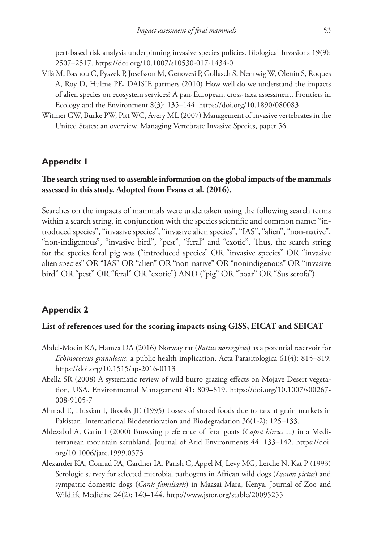pert-based risk analysis underpinning invasive species policies. Biological Invasions 19(9): 2507–2517.<https://doi.org/10.1007/s10530-017-1434-0>

- Vilà M, Basnou C, Pysvek P, Josefsson M, Genovesi P, Gollasch S, Nentwig W, Olenin S, Roques A, Roy D, Hulme PE, DAISIE partners (2010) How well do we understand the impacts of alien species on ecosystem services? A pan-European, cross-taxa assessment. Frontiers in Ecology and the Environment 8(3): 135–144. <https://doi.org/10.1890/080083>
- Witmer GW, Burke PW, Pitt WC, Avery ML (2007) Management of invasive vertebrates in the United States: an overview. Managing Vertebrate Invasive Species, paper 56.

### **Appendix 1**

### **The search string used to assemble information on the global impacts of the mammals assessed in this study. Adopted from Evans et al. (2016).**

Searches on the impacts of mammals were undertaken using the following search terms within a search string, in conjunction with the species scientific and common name: "introduced species", "invasive species", "invasive alien species", "IAS", "alien", "non-native", "non-indigenous", "invasive bird", "pest", "feral" and "exotic". Thus, the search string for the species feral pig was ("introduced species" OR "invasive species" OR "invasive alien species" OR "IAS" OR "alien" OR "non-native" OR "nonindigenous" OR "invasive bird" OR "pest" OR "feral" OR "exotic") AND ("pig" OR "boar" OR "Sus scrofa").

### **Appendix 2**

### **List of references used for the scoring impacts using GISS, EICAT and SEICAT**

- Abdel-Moein KA, Hamza DA (2016) Norway rat (*Rattus norvegicus*) as a potential reservoir for *Echinococcus granulosus*: a public health implication. Acta Parasitologica 61(4): 815–819. <https://doi.org/10.1515/ap-2016-0113>
- Abella SR (2008) A systematic review of wild burro grazing effects on Mojave Desert vegetation, USA. Environmental Management 41: 809–819. [https://doi.org/10.1007/s00267-](https://doi.org/10.1007/s00267-008-9105-7) [008-9105-7](https://doi.org/10.1007/s00267-008-9105-7)
- Ahmad E, Hussian I, Brooks JE (1995) Losses of stored foods due to rats at grain markets in Pakistan. International Biodeterioration and Biodegradation 36(1-2): 125–133.
- Aldezabal A, Garin I (2000) Browsing preference of feral goats (*Capra hircus* L.) in a Mediterranean mountain scrubland. Journal of Arid Environments 44: 133–142. [https://doi.](https://doi.org/10.1006/jare.1999.0573) [org/10.1006/jare.1999.0573](https://doi.org/10.1006/jare.1999.0573)
- Alexander KA, Conrad PA, Gardner IA, Parish C, Appel M, Levy MG, Lerche N, Kat P (1993) Serologic survey for selected microbial pathogens in African wild dogs (*Lycaon pictus*) and sympatric domestic dogs (*Canis familiaris*) in Maasai Mara, Kenya. Journal of Zoo and Wildlife Medicine 24(2): 140–144. <http://www.jstor.org/stable/20095255>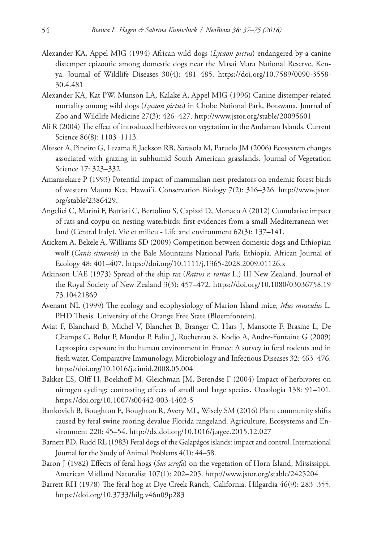- Alexander KA, Appel MJG (1994) African wild dogs (*Lycaon pictus*) endangered by a canine distemper epizootic among domestic dogs near the Masai Mara National Reserve, Kenya. Journal of Wildlife Diseases 30(4): 481–485. [https://doi.org/10.7589/0090-3558-](https://doi.org/10.7589/0090-3558-30.4.481) [30.4.481](https://doi.org/10.7589/0090-3558-30.4.481)
- Alexander KA, Kat PW, Munson LA, Kalake A, Appel MJG (1996) Canine distemper-related mortality among wild dogs (*Lycaon pictus*) in Chobe National Park, Botswana. Journal of Zoo and Wildlife Medicine 27(3): 426–427. <http://www.jstor.org/stable/20095601>
- Ali R (2004) The effect of introduced herbivores on vegetation in the Andaman Islands. Current Science 86(8): 1103–1113.
- Altesor A, Pineiro G, Lezama F, Jackson RB, Sarasola M, Paruelo JM (2006) Ecosystem changes associated with grazing in subhumid South American grasslands. Journal of Vegetation Science 17: 323–332.
- Amarasekare P (1993) Potential impact of mammalian nest predators on endemic forest birds of western Mauna Kea, Hawai'i. Conservation Biology 7(2): 316–326. [http://www.jstor.](http://www.jstor.org/stable/2386429) [org/stable/2386429](http://www.jstor.org/stable/2386429).
- Angelici C, Marini F, Battisti C, Bertolino S, Capizzi D, Monaco A (2012) Cumulative impact of rats and coypu on nesting waterbirds: first evidences from a small Mediterranean wetland (Central Italy). Vie et milieu - Life and environment 62(3): 137–141.
- Atickem A, Bekele A, Williams SD (2009) Competition between domestic dogs and Ethiopian wolf (*Canis simensis*) in the Bale Mountains National Park, Ethiopia. African Journal of Ecology 48: 401–407. <https://doi.org/10.1111/j.1365-2028.2009.01126.x>
- Atkinson UAE (1973) Spread of the ship rat (*Rattus r. rattus* L.) III New Zealand. Journal of the Royal Society of New Zealand 3(3): 457–472. [https://doi.org/10.1080/03036758.19](https://doi.org/10.1080/03036758.1973.10421869) [73.10421869](https://doi.org/10.1080/03036758.1973.10421869)
- Avenant NL (1999) The ecology and ecophysiology of Marion Island mice, *Mus musculus* L. PHD Thesis. University of the Orange Free State (Bloemfontein).
- Aviat F, Blanchard B, Michel V, Blanchet B, Branger C, Hars J, Mansotte F, Brasme L, De Champs C, Bolut P, Mondot P, Faliu J, Rochereau S, Kodjo A, Andre-Fontaine G (2009) Leptospira exposure in the human environment in France: A survey in feral rodents and in fresh water. Comparative Immunology, Microbiology and Infectious Diseases 32: 463–476. <https://doi.org/10.1016/j.cimid.2008.05.004>
- Bakker ES, Olff H, Boekhoff M, Gleichman JM, Berendse F (2004) Impact of herbivores on nitrogen cycling: contrasting effects of small and large species. Oecologia 138: 91–101. <https://doi.org/10.1007/s00442-003-1402-5>
- Bankovich B, Boughton E, Boughton R, Avery ML, Wisely SM (2016) Plant community shifts caused by feral swine rooting devalue Florida rangeland. Agriculture, Ecosystems and Environment 220: 45–54.<http://dx.doi.org/10.1016/j.agee.2015.12.027>
- Barnett BD, Rudd RL (1983) Feral dogs of the Galapágos islands: impact and control. International Journal for the Study of Animal Problems 4(1): 44–58.
- Baron J (1982) Effects of feral hogs (*Sus scrofa*) on the vegetation of Horn Island, Mississippi. American Midland Naturalist 107(1): 202–205. <http://www.jstor.org/stable/2425204>
- Barrett RH (1978) The feral hog at Dye Creek Ranch, California. Hilgardia 46(9): 283–355. <https://doi.org/10.3733/hilg.v46n09p283>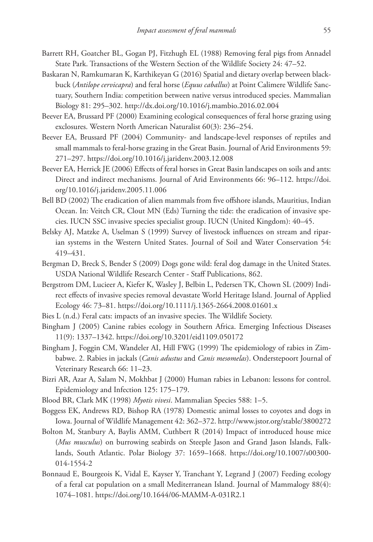- Barrett RH, Goatcher BL, Gogan PJ, Fitzhugh EL (1988) Removing feral pigs from Annadel State Park. Transactions of the Western Section of the Wildlife Society 24: 47–52.
- Baskaran N, Ramkumaran K, Karthikeyan G (2016) Spatial and dietary overlap between blackbuck (*Antilope cervicapra*) and feral horse (*Equus caballus*) at Point Calimere Wildlife Sanctuary, Southern India: competition between native versus introduced species. Mammalian Biology 81: 295–302.<http://dx.doi.org/10.1016/j.mambio.2016.02.004>
- Beever EA, Brussard PF (2000) Examining ecological consequences of feral horse grazing using exclosures. Western North American Naturalist 60(3): 236–254.
- Beever EA, Brussard PF (2004) Community- and landscape-level responses of reptiles and small mammals to feral-horse grazing in the Great Basin. Journal of Arid Environments 59: 271–297.<https://doi.org/10.1016/j.jaridenv.2003.12.008>
- Beever EA, Herrick JE (2006) Effects of feral horses in Great Basin landscapes on soils and ants: Direct and indirect mechanisms. Journal of Arid Environments 66: 96–112. [https://doi.](https://doi.org/10.1016/j.jaridenv.2005.11.006) [org/10.1016/j.jaridenv.2005.11.006](https://doi.org/10.1016/j.jaridenv.2005.11.006)
- Bell BD (2002) The eradication of alien mammals from five offshore islands, Mauritius, Indian Ocean. In: Veitch CR, Clout MN (Eds) Turning the tide: the eradication of invasive species. IUCN SSC invasive species specialist group. IUCN (United Kingdom): 40–45.
- Belsky AJ, Matzke A, Uselman S (1999) Survey of livestock influences on stream and riparian systems in the Western United States. Journal of Soil and Water Conservation 54: 419–431.
- Bergman D, Breck S, Bender S (2009) Dogs gone wild: feral dog damage in the United States. USDA National Wildlife Research Center - Staff Publications, 862.
- Bergstrom DM, Lucieer A, Kiefer K, Wasley J, Belbin L, Pedersen TK, Chown SL (2009) Indirect effects of invasive species removal devastate World Heritage Island. Journal of Applied Ecology 46: 73–81. <https://doi.org/10.1111/j.1365-2664.2008.01601.x>
- Bies L (n.d.) Feral cats: impacts of an invasive species. The Wildlife Society.
- Bingham J (2005) Canine rabies ecology in Southern Africa. Emerging Infectious Diseases 11(9): 1337–1342. <https://doi.org/10.3201/eid1109.050172>
- Bingham J, Foggin CM, Wandeler AI, Hill FWG (1999) The epidemiology of rabies in Zimbabwe. 2. Rabies in jackals (*Canis adustus* and *Canis mesomelas*). Onderstepoort Journal of Veterinary Research 66: 11–23.
- Bizri AR, Azar A, Salam N, Mokhbat J (2000) Human rabies in Lebanon: lessons for control. Epidemiology and Infection 125: 175–179.
- Blood BR, Clark MK (1998) *Myotis vivesi*. Mammalian Species 588: 1–5.
- Boggess EK, Andrews RD, Bishop RA (1978) Domestic animal losses to coyotes and dogs in Iowa. Journal of Wildlife Management 42: 362–372.<http://www.jstor.org/stable/3800272>
- Bolton M, Stanbury A, Baylis AMM, Cuthbert R (2014) Impact of introduced house mice (*Mus musculus*) on burrowing seabirds on Steeple Jason and Grand Jason Islands, Falklands, South Atlantic. Polar Biology 37: 1659–1668. [https://doi.org/10.1007/s00300-](https://doi.org/10.1007/s00300-014-1554-2) [014-1554-2](https://doi.org/10.1007/s00300-014-1554-2)
- Bonnaud E, Bourgeois K, Vidal E, Kayser Y, Tranchant Y, Legrand J (2007) Feeding ecology of a feral cat population on a small Mediterranean Island. Journal of Mammalogy 88(4): 1074–1081.<https://doi.org/10.1644/06-MAMM-A-031R2.1>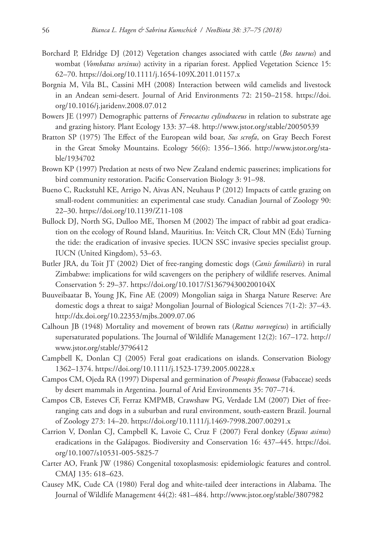- Borchard P, Eldridge DJ (2012) Vegetation changes associated with cattle (*Bos taurus*) and wombat (*Vombatus ursinus*) activity in a riparian forest. Applied Vegetation Science 15: 62–70.<https://doi.org/10.1111/j.1654-109X.2011.01157.x>
- Borgnia M, Vila BL, Cassini MH (2008) Interaction between wild camelids and livestock in an Andean semi-desert. Journal of Arid Environments 72: 2150–2158. [https://doi.](https://doi.org/10.1016/j.jaridenv.2008.07.012) [org/10.1016/j.jaridenv.2008.07.012](https://doi.org/10.1016/j.jaridenv.2008.07.012)
- Bowers JE (1997) Demographic patterns of *Ferocactus cylindraceus* in relation to substrate age and grazing history. Plant Ecology 133: 37–48. <http://www.jstor.org/stable/20050539>
- Bratton SP (1975) The Effect of the European wild boar, *Sus scrofa*, on Gray Beech Forest in the Great Smoky Mountains. Ecology 56(6): 1356–1366. [http://www.jstor.org/sta](http://www.jstor.org/stable/1934702)[ble/1934702](http://www.jstor.org/stable/1934702)
- Brown KP (1997) Predation at nests of two New Zealand endemic passerines; implications for bird community restoration. Pacific Conservation Biology 3: 91–98.
- Bueno C, Ruckstuhl KE, Arrigo N, Aivas AN, Neuhaus P (2012) Impacts of cattle grazing on small-rodent communities: an experimental case study. Canadian Journal of Zoology 90: 22–30.<https://doi.org/10.1139/Z11-108>
- Bullock DJ, North SG, Dulloo ME, Thorsen M (2002) The impact of rabbit ad goat eradication on the ecology of Round Island, Mauritius. In: Veitch CR, Clout MN (Eds) Turning the tide: the eradication of invasive species. IUCN SSC invasive species specialist group. IUCN (United Kingdom), 53–63.
- Butler JRA, du Toit JT (2002) Diet of free-ranging domestic dogs (*Canis familiaris*) in rural Zimbabwe: implications for wild scavengers on the periphery of wildlife reserves. Animal Conservation 5: 29–37. <https://doi.org/10.1017/S136794300200104X>
- Buuveibaatar B, Young JK, Fine AE (2009) Mongolian saiga in Sharga Nature Reserve: Are domestic dogs a threat to saiga? Mongolian Journal of Biological Sciences 7(1-2): 37–43. <http://dx.doi.org/10.22353/mjbs.2009.07.06>
- Calhoun JB (1948) Mortality and movement of brown rats (*Rattus norvegicus*) in artificially supersaturated populations. The Journal of Wildlife Management 12(2): 167–172. [http://](http://www.jstor.org/stable/3796412) [www.jstor.org/stable/3796412](http://www.jstor.org/stable/3796412)
- Campbell K, Donlan CJ (2005) Feral goat eradications on islands. Conservation Biology 1362–1374.<https://doi.org/10.1111/j.1523-1739.2005.00228.x>
- Campos CM, Ojeda RA (1997) Dispersal and germination of *Prosopis flexuosa* (Fabaceae) seeds by desert mammals in Argentina. Journal of Arid Environments 35: 707–714.
- Campos CB, Esteves CF, Ferraz KMPMB, Crawshaw PG, Verdade LM (2007) Diet of freeranging cats and dogs in a suburban and rural environment, south-eastern Brazil. Journal of Zoology 273: 14–20.<https://doi.org/10.1111/j.1469-7998.2007.00291.x>
- Carrion V, Donlan CJ, Campbell K, Lavoie C, Cruz F (2007) Feral donkey (*Equus asinus*) eradications in the Galápagos. Biodiversity and Conservation 16: 437–445. [https://doi.](https://doi.org/10.1007/s10531-005-5825-7) [org/10.1007/s10531-005-5825-7](https://doi.org/10.1007/s10531-005-5825-7)
- Carter AO, Frank JW (1986) Congenital toxoplasmosis: epidemiologic features and control. CMAJ 135: 618–623.
- Causey MK, Cude CA (1980) Feral dog and white-tailed deer interactions in Alabama. The Journal of Wildlife Management 44(2): 481–484.<http://www.jstor.org/stable/3807982>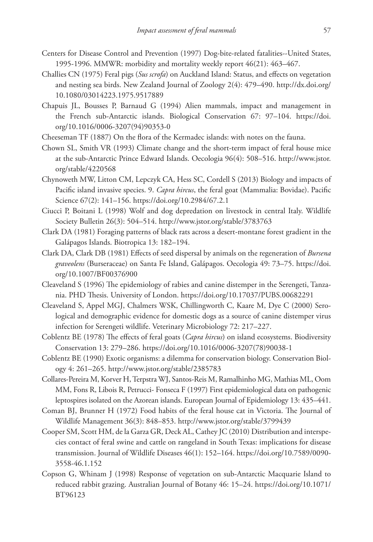- Centers for Disease Control and Prevention (1997) Dog-bite-related fatalities--United States, 1995-1996. MMWR: morbidity and mortality weekly report 46(21): 463–467.
- Challies CN (1975) Feral pigs (*Sus scrofa*) on Auckland Island: Status, and effects on vegetation and nesting sea birds. New Zealand Journal of Zoology 2(4): 479–490. [http://dx.doi.org/](http://dx.doi.org/10.1080/03014223.1975.9517889) [10.1080/03014223.1975.9517889](http://dx.doi.org/10.1080/03014223.1975.9517889)
- Chapuis JL, Bousses P, Barnaud G (1994) Alien mammals, impact and management in the French sub-Antarctic islands. Biological Conservation 67: 97–104. [https://doi.](https://doi.org/10.1016/0006-3207(94)90353-0) [org/10.1016/0006-3207\(94\)90353-0](https://doi.org/10.1016/0006-3207(94)90353-0)
- Cheeseman TF (1887) On the flora of the Kermadec islands: with notes on the fauna.
- Chown SL, Smith VR (1993) Climate change and the short-term impact of feral house mice at the sub-Antarctic Prince Edward Islands. Oecologia 96(4): 508–516. [http://www.jstor.](http://www.jstor.org/stable/4220568) [org/stable/4220568](http://www.jstor.org/stable/4220568)
- Chynoweth MW, Litton CM, Lepczyk CA, Hess SC, Cordell S (2013) Biology and impacts of Pacific island invasive species. 9. *Capra hircus*, the feral goat (Mammalia: Bovidae). Pacific Science 67(2): 141–156. <https://doi.org/10.2984/67.2.1>
- Ciucci P, Boitani L (1998) Wolf and dog depredation on livestock in central Italy. Wildlife Society Bulletin 26(3): 504–514.<http://www.jstor.org/stable/3783763>
- Clark DA (1981) Foraging patterns of black rats across a desert-montane forest gradient in the Galápagos Islands. Biotropica 13: 182–194.
- Clark DA, Clark DB (1981) Effects of seed dispersal by animals on the regeneration of *Bursena graveolens* (Burseraceae) on Santa Fe Island, Galápagos. Oecologia 49: 73–75. [https://doi.](https://doi.org/10.1007/BF00376900) [org/10.1007/BF00376900](https://doi.org/10.1007/BF00376900)
- Cleaveland S (1996) The epidemiology of rabies and canine distemper in the Serengeti, Tanzania. PHD Thesis. University of London. <https://doi.org/10.17037/PUBS.00682291>
- Cleaveland S, Appel MGJ, Chalmers WSK, Chillingworth C, Kaare M, Dye C (2000) Serological and demographic evidence for domestic dogs as a source of canine distemper virus infection for Serengeti wildlife. Veterinary Microbiology 72: 217–227.
- Coblentz BE (1978) The effects of feral goats (*Capra hircus*) on island ecosystems. Biodiversity Conservation 13: 279–286. [https://doi.org/10.1016/0006-3207\(78\)90038-1](https://doi.org/10.1016/0006-3207(78)90038-1)
- Coblentz BE (1990) Exotic organisms: a dilemma for conservation biology. Conservation Biology 4: 261–265. <http://www.jstor.org/stable/2385783>
- Collares-Pereira M, Korver H, Terpstra WJ, Santos-Reis M, Ramalhinho MG, Mathias ML, Oom MM, Fons R, Libois R, Petrucci- Fonseca F (1997) First epidemiological data on pathogenic leptospires isolated on the Azorean islands. European Journal of Epidemiology 13: 435–441.
- Coman BJ, Brunner H (1972) Food habits of the feral house cat in Victoria. The Journal of Wildlife Management 36(3): 848–853.<http://www.jstor.org/stable/3799439>
- Cooper SM, Scott HM, de la Garza GR, Deck AL, Cathey JC (2010) Distribution and interspecies contact of feral swine and cattle on rangeland in South Texas: implications for disease transmission. Journal of Wildlife Diseases 46(1): 152–164. [https://doi.org/10.7589/0090-](https://doi.org/10.7589/0090-3558-46.1.152) [3558-46.1.152](https://doi.org/10.7589/0090-3558-46.1.152)
- Copson G, Whinam J (1998) Response of vegetation on sub-Antarctic Macquarie Island to reduced rabbit grazing. Australian Journal of Botany 46: 15–24. [https://doi.org/10.1071/](https://doi.org/10.1071/BT96123) [BT96123](https://doi.org/10.1071/BT96123)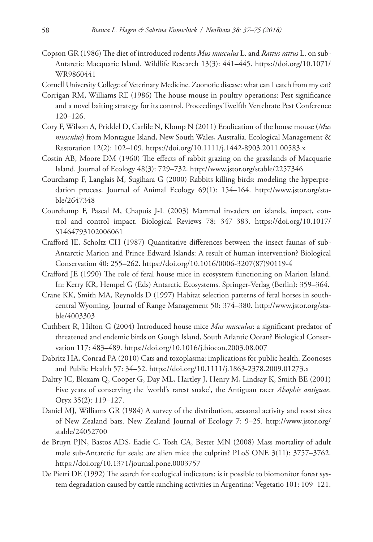- Copson GR (1986) The diet of introduced rodents *Mus musculus* L. and *Rattus rattus* L. on sub-Antarctic Macquarie Island. Wildlife Research 13(3): 441–445. [https://doi.org/10.1071/](https://doi.org/10.1071/WR9860441) [WR9860441](https://doi.org/10.1071/WR9860441)
- Cornell University College of Veterinary Medicine. Zoonotic disease: what can I catch from my cat?
- Corrigan RM, Williams RE (1986) The house mouse in poultry operations: Pest significance and a novel baiting strategy for its control. Proceedings Twelfth Vertebrate Pest Conference 120–126.
- Cory F, Wilson A, Priddel D, Carlile N, Klomp N (2011) Eradication of the house mouse (*Mus musculus*) from Montague Island, New South Wales, Australia. Ecological Management & Restoration 12(2): 102–109. <https://doi.org/10.1111/j.1442-8903.2011.00583.x>
- Costin AB, Moore DM (1960) The effects of rabbit grazing on the grasslands of Macquarie Island. Journal of Ecology 48(3): 729–732.<http://www.jstor.org/stable/2257346>
- Courchamp F, Langlais M, Sugihara G (2000) Rabbits killing birds: modeling the hyperpredation process. Journal of Animal Ecology 69(1): 154–164. [http://www.jstor.org/sta](http://www.jstor.org/stable/2647348)[ble/2647348](http://www.jstor.org/stable/2647348)
- Courchamp F, Pascal M, Chapuis J-L (2003) Mammal invaders on islands, impact, control and control impact. Biological Reviews 78: 347–383. [https://doi.org/10.1017/](https://doi.org/10.1017/S1464793102006061) [S1464793102006061](https://doi.org/10.1017/S1464793102006061)
- Crafford JE, Scholtz CH (1987) Quantitative differences between the insect faunas of sub-Antarctic Marion and Prince Edward Islands: A result of human intervention? Biological Conservation 40: 255–262. [https://doi.org/10.1016/0006-3207\(87\)90119-4](https://doi.org/10.1016/0006-3207(87)90119-4)
- Crafford JE (1990) The role of feral house mice in ecosystem functioning on Marion Island. In: Kerry KR, Hempel G (Eds) Antarctic Ecosystems. Springer-Verlag (Berlin): 359–364.
- Crane KK, Smith MA, Reynolds D (1997) Habitat selection patterns of feral horses in southcentral Wyoming. Journal of Range Management 50: 374–380. [http://www.jstor.org/sta](http://www.jstor.org/stable/4003303)[ble/4003303](http://www.jstor.org/stable/4003303)
- Cuthbert R, Hilton G (2004) Introduced house mice *Mus musculus*: a significant predator of threatened and endemic birds on Gough Island, South Atlantic Ocean? Biological Conservation 117: 483–489. <https://doi.org/10.1016/j.biocon.2003.08.007>
- Dabritz HA, Conrad PA (2010) Cats and toxoplasma: implications for public health. Zoonoses and Public Health 57: 34–52.<https://doi.org/10.1111/j.1863-2378.2009.01273.x>
- Daltry JC, Bloxam Q, Cooper G, Day ML, Hartley J, Henry M, Lindsay K, Smith BE (2001) Five years of conserving the 'world's rarest snake', the Antiguan racer *Alsophis antiguae*. Oryx 35(2): 119–127.
- Daniel MJ, Williams GR (1984) A survey of the distribution, seasonal activity and roost sites of New Zealand bats. New Zealand Journal of Ecology 7: 9–25. [http://www.jstor.org/](http://www.jstor.org/stable/24052700) [stable/24052700](http://www.jstor.org/stable/24052700)
- de Bruyn PJN, Bastos ADS, Eadie C, Tosh CA, Bester MN (2008) Mass mortality of adult male sub-Antarctic fur seals: are alien mice the culprits? PLoS ONE 3(11): 3757–3762. <https://doi.org/10.1371/journal.pone.0003757>
- De Pietri DE (1992) The search for ecological indicators: is it possible to biomonitor forest system degradation caused by cattle ranching activities in Argentina? Vegetatio 101: 109–121.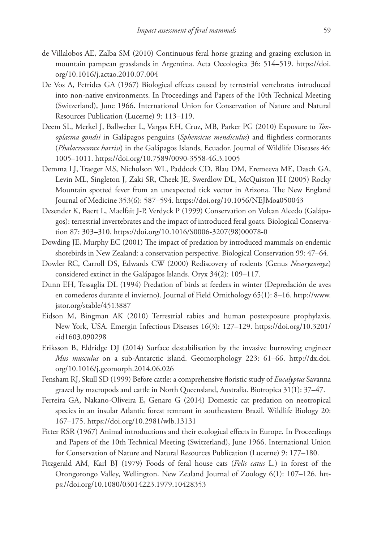- de Villalobos AE, Zalba SM (2010) Continuous feral horse grazing and grazing exclusion in mountain pampean grasslands in Argentina. Acta Oecologica 36: 514–519. [https://doi.](https://doi.org/10.1016/j.actao.2010.07.004) [org/10.1016/j.actao.2010.07.004](https://doi.org/10.1016/j.actao.2010.07.004)
- De Vos A, Petrides GA (1967) Biological effects caused by terrestrial vertebrates introduced into non-native environments. In Proceedings and Papers of the 10th Technical Meeting (Switzerland), June 1966. International Union for Conservation of Nature and Natural Resources Publication (Lucerne) 9: 113–119.
- Deem SL, Merkel J, Ballweber L, Vargas F.H, Cruz, MB, Parker PG (2010) Exposure to *Toxoplasma gondii* in Galápagos penguins (*Sphensicus mendiculus*) and flightless cormorants (*Phalacrocorax harrisi*) in the Galápagos Islands, Ecuador. Journal of Wildlife Diseases 46: 1005–1011.<https://doi.org/10.7589/0090-3558-46.3.1005>
- Demma LJ, Traeger MS, Nicholson WL, Paddock CD, Blau DM, Eremeeva ME, Dasch GA, Levin ML, Singleton J, Zaki SR, Cheek JE, Swerdlow DL, McQuiston JH (2005) Rocky Mountain spotted fever from an unexpected tick vector in Arizona. The New England Journal of Medicine 353(6): 587–594. <https://doi.org/10.1056/NEJMoa050043>
- Desender K, Baert L, Maelfait J-P, Verdyck P (1999) Conservation on Volcan Alcedo (Galápagos): terrestrial invertebrates and the impact of introduced feral goats. Biological Conservation 87: 303–310. [https://doi.org/10.1016/S0006-3207\(98\)00078-0](https://doi.org/10.1016/S0006-3207(98)00078-0)
- Dowding JE, Murphy EC (2001) The impact of predation by introduced mammals on endemic shorebirds in New Zealand: a conservation perspective. Biological Conservation 99: 47–64.
- Dowler RC, Carroll DS, Edwards CW (2000) Rediscovery of rodents (Genus *Nesoryzomyz*) considered extinct in the Galápagos Islands. Oryx 34(2): 109–117.
- Dunn EH, Tessaglia DL (1994) Predation of birds at feeders in winter (Depredación de aves en comederos durante el invierno). Journal of Field Ornithology 65(1): 8–16. [http://www.](http://www.jstor.org/stable/4513887) [jstor.org/stable/4513887](http://www.jstor.org/stable/4513887)
- Eidson M, Bingman AK (2010) Terrestrial rabies and human postexposure prophylaxis, New York, USA. Emergin Infectious Diseases 16(3): 127–129. [https://doi.org/10.3201/](https://doi.org/10.3201/eid1603.090298) [eid1603.090298](https://doi.org/10.3201/eid1603.090298)
- Eriksson B, Eldridge DJ (2014) Surface destabilisation by the invasive burrowing engineer *Mus musculus* on a sub-Antarctic island. Geomorphology 223: 61–66. [http://dx.doi.](http://dx.doi.org/10.1016/j.geomorph.2014.06.026) [org/10.1016/j.geomorph.2014.06.026](http://dx.doi.org/10.1016/j.geomorph.2014.06.026)
- Fensham RJ, Skull SD (1999) Before cattle: a comprehensive floristic study of *Eucalyptus* Savanna grazed by macropods and cattle in North Queensland, Australia. Biotropica 31(1): 37–47.
- Ferreira GA, Nakano-Oliveira E, Genaro G (2014) Domestic cat predation on neotropical species in an insular Atlantic forest remnant in southeastern Brazil. Wildlife Biology 20: 167–175.<https://doi.org/10.2981/wlb.13131>
- Fitter RSR (1967) Animal introductions and their ecological effects in Europe. In Proceedings and Papers of the 10th Technical Meeting (Switzerland), June 1966. International Union for Conservation of Nature and Natural Resources Publication (Lucerne) 9: 177–180.
- Fitzgerald AM, Karl BJ (1979) Foods of feral house cats (*Felis catus* L.) in forest of the Orongorongo Valley, Wellington. New Zealand Journal of Zoology 6(1): 107–126. [htt](https://doi.org/10.1080/03014223.1979.10428353)[ps://doi.org/10.1080/03014223.1979.10428353](https://doi.org/10.1080/03014223.1979.10428353)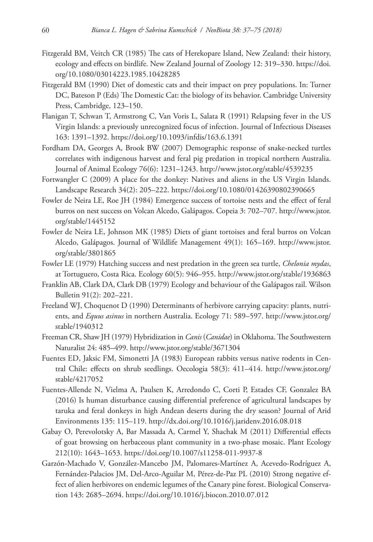- Fitzgerald BM, Veitch CR (1985) The cats of Herekopare Island, New Zealand: their history, ecology and effects on birdlife. New Zealand Journal of Zoology 12: 319–330. [https://doi.](https://doi.org/10.1080/03014223.1985.10428285) [org/10.1080/03014223.1985.10428285](https://doi.org/10.1080/03014223.1985.10428285)
- Fitzgerald BM (1990) Diet of domestic cats and their impact on prey populations. In: Turner DC, Bateson P (Eds) The Domestic Cat: the biology of its behavior. Cambridge University Press, Cambridge, 123–150.
- Flanigan T, Schwan T, Armstrong C, Van Voris L, Salata R (1991) Relapsing fever in the US Virgin Islands: a previously unrecognized focus of infection. Journal of Infectious Diseases 163: 1391–1392.<https://doi.org/10.1093/infdis/163.6.1391>
- Fordham DA, Georges A, Brook BW (2007) Demographic response of snake-necked turtles correlates with indigenous harvest and feral pig predation in tropical northern Australia. Journal of Animal Ecology 76(6): 1231–1243.<http://www.jstor.org/stable/4539235>
- Fortwangler C (2009) A place for the donkey: Natives and aliens in the US Virgin Islands. Landscape Research 34(2): 205–222. <https://doi.org/10.1080/01426390802390665>
- Fowler de Neira LE, Roe JH (1984) Emergence success of tortoise nests and the effect of feral burros on nest success on Volcan Alcedo, Galápagos. Copeia 3: 702–707. [http://www.jstor.](http://www.jstor.org/stable/1445152) [org/stable/1445152](http://www.jstor.org/stable/1445152)
- Fowler de Neira LE, Johnson MK (1985) Diets of giant tortoises and feral burros on Volcan Alcedo, Galápagos. Journal of Wildlife Management 49(1): 165–169. [http://www.jstor.](http://www.jstor.org/stable/3801865) [org/stable/3801865](http://www.jstor.org/stable/3801865)
- Fowler LE (1979) Hatching success and nest predation in the green sea turtle, *Chelonia mydas*, at Tortuguero, Costa Rica. Ecology 60(5): 946–955.<http://www.jstor.org/stable/1936863>
- Franklin AB, Clark DA, Clark DB (1979) Ecology and behaviour of the Galápagos rail. Wilson Bulletin 91(2): 202–221.
- Freeland WJ, Choquenot D (1990) Determinants of herbivore carrying capacity: plants, nutrients, and *Equus asinus* in northern Australia. Ecology 71: 589–597. [http://www.jstor.org/](http://www.jstor.org/stable/1940312) [stable/1940312](http://www.jstor.org/stable/1940312)
- Freeman CR, Shaw JH (1979) Hybridization in *Canis* (*Canidae*) in Oklahoma. The Southwestern Naturalist 24: 485–499.<http://www.jstor.org/stable/3671304>
- Fuentes ED, Jaksic FM, Simonetti JA (1983) European rabbits versus native rodents in Central Chile: effects on shrub seedlings. Oecologia 58(3): 411–414. [http://www.jstor.org/](http://www.jstor.org/stable/4217052) [stable/4217052](http://www.jstor.org/stable/4217052)
- Fuentes-Allende N, Vielma A, Paulsen K, Arredondo C, Corti P, Estades CF, Gonzalez BA (2016) Is human disturbance causing differential preference of agricultural landscapes by taruka and feral donkeys in high Andean deserts during the dry season? Journal of Arid Environments 135: 115–119. <http://dx.doi.org/10.1016/j.jaridenv.2016.08.018>
- Gabay O, Perevolotsky A, Bar Massada A, Carmel Y, Shachak M (2011) Differential effects of goat browsing on herbaceous plant community in a two-phase mosaic. Plant Ecology 212(10): 1643–1653. <https://doi.org/10.1007/s11258-011-9937-8>
- Garzón-Machado V, González-Mancebo JM, Palomares-Martínez A, Acevedo-Rodríguez A, Fernández-Palacios JM, Del-Arco-Aguilar M, Pérez-de-Paz PL (2010) Strong negative effect of alien herbivores on endemic legumes of the Canary pine forest. Biological Conservation 143: 2685–2694. <https://doi.org/10.1016/j.biocon.2010.07.012>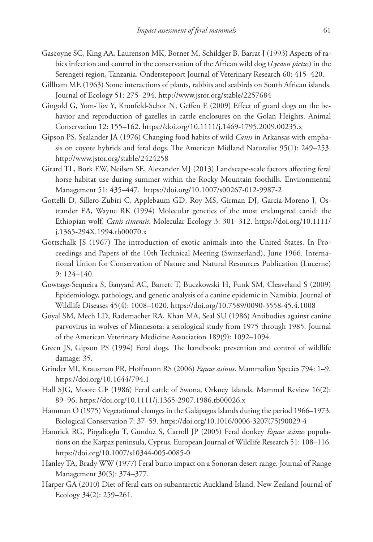- Gascoyne SC, King AA, Laurenson MK, Borner M, Schildger B, Barrat J (1993) Aspects of rabies infection and control in the conservation of the African wild dog (*Lycaon pictus*) in the Serengeti region, Tanzania. Onderstepoort Journal of Veterinary Research 60: 415–420.
- Gillham ME (1963) Some interactions of plants, rabbits and seabirds on South African islands. Journal of Ecology 51: 275–294. <http://www.jstor.org/stable/2257684>
- Gingold G, Yom-Tov Y, Kronfeld-Schor N, Geffen E (2009) Effect of guard dogs on the behavior and reproduction of gazelles in cattle enclosures on the Golan Heights. Animal Conservation 12: 155–162. <https://doi.org/10.1111/j.1469-1795.2009.00235.x>
- Gipson PS, Sealander JA (1976) Changing food habits of wild *Canis* in Arkansas with emphasis on coyote hybrids and feral dogs. The American Midland Naturalist 95(1): 249–253. <http://www.jstor.org/stable/2424258>
- Girard TL, Bork EW, Neilsen SE, Alexander MJ (2013) Landscape-scale factors affecting feral horse habitat use during summer within the Rocky Mountain foothills. Environmental Management 51: 435–447. <https://doi.org/10.1007/s00267-012-9987-2>
- Gottelli D, Sillero-Zubiri C, Applebaum GD, Roy MS, Girman DJ, Garcia-Moreno J, Ostrander EA, Wayne RK (1994) Molecular genetics of the most endangered canid: the Ethiopian wolf, *Canis simensis*. Molecular Ecology 3: 301–312. [https://doi.org/10.1111/](https://doi.org/10.1111/j.1365-294X.1994.tb00070.x) [j.1365-294X.1994.tb00070.x](https://doi.org/10.1111/j.1365-294X.1994.tb00070.x)
- Gottschalk JS (1967) The introduction of exotic animals into the United States. In Proceedings and Papers of the 10th Technical Meeting (Switzerland), June 1966. International Union for Conservation of Nature and Natural Resources Publication (Lucerne) 9: 124–140.
- Gowtage-Sequeira S, Banyard AC, Barrett T, Buczkowski H, Funk SM, Cleaveland S (2009) Epidemiology, pathology, and genetic analysis of a canine epidemic in Namibia. Journal of Wildlife Diseases 45(4): 1008–1020.<https://doi.org/10.7589/0090-3558-45.4.1008>
- Goyal SM, Mech LD, Rademacher RA, Khan MA, Seal SU (1986) Antibodies against canine parvovirus in wolves of Minnesota: a serological study from 1975 through 1985. Journal of the American Veterinary Medicine Association 189(9): 1092–1094.
- Green JS, Gipson PS (1994) Feral dogs. The handbook: prevention and control of wildlife damage: 35.
- Grinder MI, Krausman PR, Hoffmann RS (2006) *Equus asinus*. Mammalian Species 794: 1–9. <https://doi.org/10.1644/794.1>
- Hall SJG, Moore GF (1986) Feral cattle of Swona, Orkney Islands. Mammal Review 16(2): 89–96.<https://doi.org/10.1111/j.1365-2907.1986.tb00026.x>
- Hamman O (1975) Vegetational changes in the Galápagos Islands during the period 1966–1973. Biological Conservation 7: 37–59. [https://doi.org/10.1016/0006-3207\(75\)90029-4](https://doi.org/10.1016/0006-3207(75)90029-4)
- Hamrick RG, Pirgalioglu T, Gunduz S, Carroll JP (2005) Feral donkey *Equus asinus* populations on the Karpaz peninsula, Cyprus. European Journal of Wildlife Research 51: 108–116. <https://doi.org/10.1007/s10344-005-0085-0>
- Hanley TA, Brady WW (1977) Feral burro impact on a Sonoran desert range. Journal of Range Management 30(5): 374–377.
- Harper GA (2010) Diet of feral cats on subantarctic Auckland Island. New Zealand Journal of Ecology 34(2): 259–261.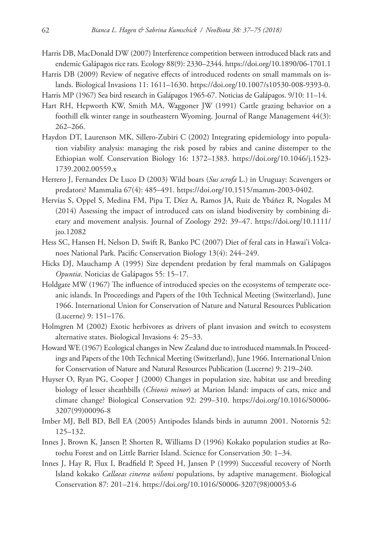- Harris DB, MacDonald DW (2007) Interference competition between introduced black rats and endemic Galápagos rice rats. Ecology 88(9): 2330–2344.<https://doi.org/10.1890/06-1701.1>
- Harris DB (2009) Review of negative effects of introduced rodents on small mammals on islands. Biological Invasions 11: 1611–1630. [https://doi.org/10.1007/s10530-008-9393-0.](https://doi.org/10.1007/s10530-008-9393-0)
- Harris MP (1967) Sea bird research in Galápagos 1965-67. Noticias de Galápagos. 9/10: 11–14.
- Hart RH, Hepworth KW, Smith MA, Waggoner JW (1991) Cattle grazing behavior on a foothill elk winter range in southeastern Wyoming. Journal of Range Management 44(3): 262–266.
- Haydon DT, Laurenson MK, Sillero-Zubiri C (2002) Integrating epidemiology into population viability analysis: managing the risk posed by rabies and canine distemper to the Ethiopian wolf. Conservation Biology 16: 1372–1383. [https://doi.org/10.1046/j.1523-](https://doi.org/10.1046/j.1523-1739.2002.00559.x) [1739.2002.00559.x](https://doi.org/10.1046/j.1523-1739.2002.00559.x)
- Herrero J, Fernandex De Luco D (2003) Wild boars (*Sus scrofa* L.) in Uruguay: Scavengers or predators? Mammalia 67(4): 485–491. <https://doi.org/10.1515/mamm-2003-0402>.
- Hervías S, Oppel S, Medina FM, Pipa T, Díez A, Ramos JA, Ruiz de Ybáñez R, Nogales M (2014) Assessing the impact of introduced cats on island biodiversity by combining dietary and movement analysis. Journal of Zoology 292: 39–47. [https://doi.org/10.1111/](https://doi.org/10.1111/jzo.12082) [jzo.12082](https://doi.org/10.1111/jzo.12082)
- Hess SC, Hansen H, Nelson D, Swift R, Banko PC (2007) Diet of feral cats in Hawai'i Volcanoes National Park. Pacific Conservation Biology 13(4): 244–249.
- Hicks DJ, Mauchamp A (1995) Size dependent predation by feral mammals on Galápagos *Opuntia*. Noticias de Galápagos 55: 15–17.
- Holdgate MW (1967) The influence of introduced species on the ecosystems of temperate oceanic islands. In Proceedings and Papers of the 10th Technical Meeting (Switzerland), June 1966. International Union for Conservation of Nature and Natural Resources Publication (Lucerne) 9: 151–176.
- Holmgren M (2002) Exotic herbivores as drivers of plant invasion and switch to ecosystem alternative states. Biological Invasions 4: 25–33.
- Howard WE (1967) Ecological changes in New Zealand due to introduced mammals.In Proceedings and Papers of the 10th Technical Meeting (Switzerland), June 1966. International Union for Conservation of Nature and Natural Resources Publication (Lucerne) 9: 219–240.
- Huyser O, Ryan PG, Cooper J (2000) Changes in population size, habitat use and breeding biology of lesser sheathbills (*Chionis minor*) at Marion Island: impacts of cats, mice and climate change? Biological Conservation 92: 299–310. [https://doi.org/10.1016/S0006-](https://doi.org/10.1016/S0006-3207(99)00096-8) [3207\(99\)00096-8](https://doi.org/10.1016/S0006-3207(99)00096-8)
- Imber MJ, Bell BD, Bell EA (2005) Antipodes Islands birds in autumn 2001. Notornis 52: 125–132.
- Innes J, Brown K, Jansen P, Shorten R, Williams D (1996) Kokako population studies at Rotoehu Forest and on Little Barrier Island. Science for Conservation 30: 1–34.
- Innes J, Hay R, Flux I, Bradfield P, Speed H, Jansen P (1999) Successful recovery of North Island kokako *Callaeas cinerea wilsoni* populations, by adaptive management. Biological Conservation 87: 201–214. [https://doi.org/10.1016/S0006-3207\(98\)00053-6](https://doi.org/10.1016/S0006-3207(98)00053-6)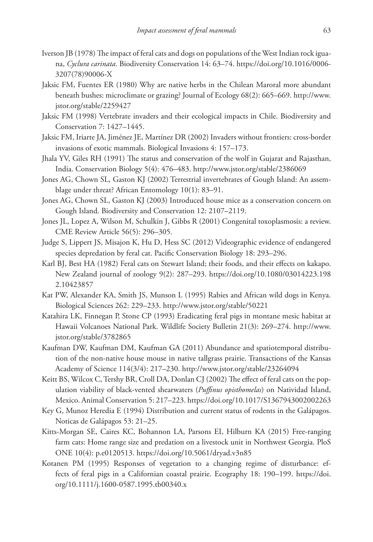- Iverson JB (1978) The impact of feral cats and dogs on populations of the West Indian rock iguana, *Cyclura carinata*. Biodiversity Conservation 14: 63–74. [https://doi.org/10.1016/0006-](https://doi.org/10.1016/0006-3207(78)90006-X) [3207\(78\)90006-X](https://doi.org/10.1016/0006-3207(78)90006-X)
- Jaksic FM, Fuentes ER (1980) Why are native herbs in the Chilean Maroral more abundant beneath bushes: microclimate or grazing? Journal of Ecology 68(2): 665–669. [http://www.](http://www.jstor.org/stable/2259427) [jstor.org/stable/2259427](http://www.jstor.org/stable/2259427)
- Jaksic FM (1998) Vertebrate invaders and their ecological impacts in Chile. Biodiversity and Conservation 7: 1427–1445.
- Jaksic FM, Iriarte JA, Jiménez JE, Martínez DR (2002) Invaders without frontiers: cross-border invasions of exotic mammals. Biological Invasions 4: 157–173.
- Jhala YV, Giles RH (1991) The status and conservation of the wolf in Gujarat and Rajasthan, India. Conservation Biology 5(4): 476–483.<http://www.jstor.org/stable/2386069>
- Jones AG, Chown SL, Gaston KJ (2002) Terrestrial invertebrates of Gough Island: An assemblage under threat? African Entomology 10(1): 83–91.
- Jones AG, Chown SL, Gaston KJ (2003) Introduced house mice as a conservation concern on Gough Island. Biodiversity and Conservation 12: 2107–2119.
- Jones JL, Lopez A, Wilson M, Schulkin J, Gibbs R (2001) Congenital toxoplasmosis: a review. CME Review Article 56(5): 296–305.
- Judge S, Lippert JS, Misajon K, Hu D, Hess SC (2012) Videographic evidence of endangered species depredation by feral cat. Pacific Conservation Biology 18: 293–296.
- Karl BJ, Best HA (1982) Feral cats on Stewart Island; their foods, and their effects on kakapo. New Zealand journal of zoology 9(2): 287–293. [https://doi.org/10.1080/03014223.198](https://doi.org/10.1080/03014223.1982.10423857) [2.10423857](https://doi.org/10.1080/03014223.1982.10423857)
- Kat PW, Alexander KA, Smith JS, Munson L (1995) Rabies and African wild dogs in Kenya. Biological Sciences 262: 229–233. <http://www.jstor.org/stable/50221>
- Katahira LK, Finnegan P, Stone CP (1993) Eradicating feral pigs in montane mesic habitat at Hawaii Volcanoes National Park. Wildlife Society Bulletin 21(3): 269–274. [http://www.](http://www.jstor.org/stable/3782865) [jstor.org/stable/3782865](http://www.jstor.org/stable/3782865)
- Kaufman DW, Kaufman DM, Kaufman GA (2011) Abundance and spatiotemporal distribution of the non-native house mouse in native tallgrass prairie. Transactions of the Kansas Academy of Science 114(3/4): 217–230.<http://www.jstor.org/stable/23264094>
- Keitt BS, Wilcox C, Tershy BR, Croll DA, Donlan CJ (2002) The effect of feral cats on the population viability of black-vented shearwaters (*Puffinus opisthomelas*) on Natividad Island, Mexico. Animal Conservation 5: 217–223.<https://doi.org/10.1017/S1367943002002263>
- Key G, Munoz Heredia E (1994) Distribution and current status of rodents in the Galápagos. Noticas de Galápagos 53: 21–25.
- Kitts-Morgan SE, Caires KC, Bohannon LA, Parsons EI, Hilburn KA (2015) Free-ranging farm cats: Home range size and predation on a livestock unit in Northwest Georgia. PloS ONE 10(4): p.e0120513.<https://doi.org/10.5061/dryad.v3n85>
- Kotanen PM (1995) Responses of vegetation to a changing regime of disturbance: effects of feral pigs in a Californian coastal prairie. Ecography 18: 190–199. [https://doi.](https://doi.org/10.1111/j.1600-0587.1995.tb00340.x) [org/10.1111/j.1600-0587.1995.tb00340.x](https://doi.org/10.1111/j.1600-0587.1995.tb00340.x)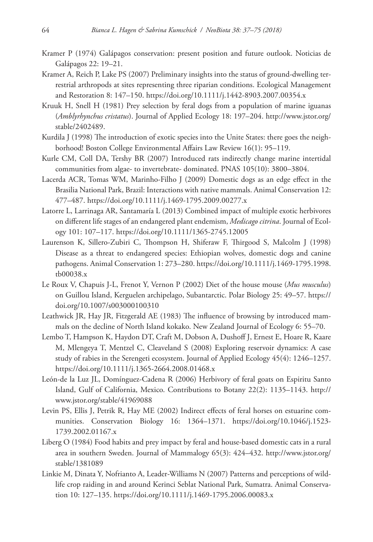- Kramer P (1974) Galápagos conservation: present position and future outlook. Noticias de Galápagos 22: 19–21.
- Kramer A, Reich P, Lake PS (2007) Preliminary insights into the status of ground-dwelling terrestrial arthropods at sites representing three riparian conditions. Ecological Management and Restoration 8: 147–150.<https://doi.org/10.1111/j.1442-8903.2007.00354.x>
- Kruuk H, Snell H (1981) Prey selection by feral dogs from a population of marine iguanas (*Amblyrhynchus cristatus*). Journal of Applied Ecology 18: 197–204. [http://www.jstor.org/](http://www.jstor.org/stable/2402489) [stable/2402489](http://www.jstor.org/stable/2402489).
- Kurdila J (1998) The introduction of exotic species into the Unite States: there goes the neighborhood! Boston College Environmental Affairs Law Review 16(1): 95–119.
- Kurle CM, Coll DA, Tershy BR (2007) Introduced rats indirectly change marine intertidal communities from algae- to invertebrate- dominated. PNAS 105(10): 3800–3804.
- Lacerda ACR, Tomas WM, Marinho-Filho J (2009) Domestic dogs as an edge effect in the Brasilia National Park, Brazil: Interactions with native mammals. Animal Conservation 12: 477–487.<https://doi.org/10.1111/j.1469-1795.2009.00277.x>
- Latorre L, Larrinaga AR, Santamaría L (2013) Combined impact of multiple exotic herbivores on different life stages of an endangered plant endemism, *Medicago citrina*. Journal of Ecology 101: 107–117. <https://doi.org/10.1111/1365-2745.12005>
- Laurenson K, Sillero-Zubiri C, Thompson H, Shiferaw F, Thirgood S, Malcolm J (1998) Disease as a threat to endangered species: Ethiopian wolves, domestic dogs and canine pathogens. Animal Conservation 1: 273–280. [https://doi.org/10.1111/j.1469-1795.1998.](https://doi.org/10.1111/j.1469-1795.1998.tb00038.x) [tb00038.x](https://doi.org/10.1111/j.1469-1795.1998.tb00038.x)
- Le Roux V, Chapuis J-L, Frenot Y, Vernon P (2002) Diet of the house mouse (*Mus musculus*) on Guillou Island, Kerguelen archipelago, Subantarctic. Polar Biology 25: 49–57. [https://](https://doi.org/10.1007/s003000100310) [doi.org/10.1007/s003000100310](https://doi.org/10.1007/s003000100310)
- Leathwick JR, Hay JR, Fitzgerald AE (1983) The influence of browsing by introduced mammals on the decline of North Island kokako. New Zealand Journal of Ecology 6: 55–70.
- Lembo T, Hampson K, Haydon DT, Craft M, Dobson A, Dushoff J, Ernest E, Hoare R, Kaare M, Mlengeya T, Mentzel C, Cleaveland S (2008) Exploring reservoir dynamics: A case study of rabies in the Serengeti ecosystem. Journal of Applied Ecology 45(4): 1246–1257. <https://doi.org/10.1111/j.1365-2664.2008.01468.x>
- León-de la Luz JL, Domínguez-Cadena R (2006) Herbivory of feral goats on Espiritu Santo Island, Gulf of California, Mexico. Contributions to Botany 22(2): 1135–1143. [http://](http://www.jstor.org/stable/41969088) [www.jstor.org/stable/41969088](http://www.jstor.org/stable/41969088)
- Levin PS, Ellis J, Petrik R, Hay ME (2002) Indirect effects of feral horses on estuarine communities. Conservation Biology 16: 1364–1371. [https://doi.org/10.1046/j.1523-](https://doi.org/10.1046/j.1523-1739.2002.01167.x) [1739.2002.01167.x](https://doi.org/10.1046/j.1523-1739.2002.01167.x)
- Liberg O (1984) Food habits and prey impact by feral and house-based domestic cats in a rural area in southern Sweden. Journal of Mammalogy 65(3): 424–432. [http://www.jstor.org/](http://www.jstor.org/stable/1381089) [stable/1381089](http://www.jstor.org/stable/1381089)
- Linkie M, Dinata Y, Nofrianto A, Leader-Williams N (2007) Patterns and perceptions of wildlife crop raiding in and around Kerinci Seblat National Park, Sumatra. Animal Conservation 10: 127–135. <https://doi.org/10.1111/j.1469-1795.2006.00083.x>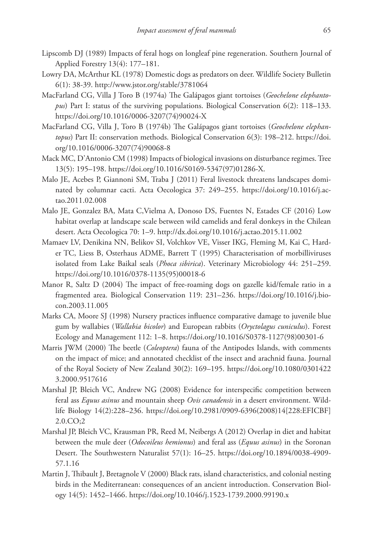- Lipscomb DJ (1989) Impacts of feral hogs on longleaf pine regeneration. Southern Journal of Applied Forestry 13(4): 177–181.
- Lowry DA, McArthur KL (1978) Domestic dogs as predators on deer. Wildlife Society Bulletin 6(1): 38-39.<http://www.jstor.org/stable/3781064>
- MacFarland CG, Villa J Toro B (1974a) The Galápagos giant tortoises (*Geochelone elephantopus*) Part I: status of the surviving populations. Biological Conservation 6(2): 118–133. [https://doi.org/10.1016/0006-3207\(74\)90024-X](https://doi.org/10.1016/0006-3207(74)90024-X)
- MacFarland CG, Villa J, Toro B (1974b) The Galápagos giant tortoises (*Geochelone elephantopus*) Part II: conservation methods. Biological Conservation 6(3): 198–212. [https://doi.](https://doi.org/10.1016/0006-3207(74)90068-8) [org/10.1016/0006-3207\(74\)90068-8](https://doi.org/10.1016/0006-3207(74)90068-8)
- Mack MC, D'Antonio CM (1998) Impacts of biological invasions on disturbance regimes. Tree 13(5): 195–198. [https://doi.org/10.1016/S0169-5347\(97\)01286-X](https://doi.org/10.1016/S0169-5347(97)01286-X).
- Malo JE, Acebes P, Giannoni SM, Traba J (2011) Feral livestock threatens landscapes dominated by columnar cacti. Acta Oecologica 37: 249–255. [https://doi.org/10.1016/j.ac](https://doi.org/10.1016/j.actao.2011.02.008)[tao.2011.02.008](https://doi.org/10.1016/j.actao.2011.02.008)
- Malo JE, Gonzalez BA, Mata C,Vielma A, Donoso DS, Fuentes N, Estades CF (2016) Low habitat overlap at landscape scale between wild camelids and feral donkeys in the Chilean desert. Acta Oecologica 70: 1–9.<http://dx.doi.org/10.1016/j.actao.2015.11.002>
- Mamaev LV, Denikina NN, Belikov SI, Volchkov VE, Visser IKG, Fleming M, Kai C, Harder TC, Liess B, Osterhaus ADME, Barrett T (1995) Characterisation of morbilliviruses isolated from Lake Baikal seals (*Phoca sibirica*). Veterinary Microbiology 44: 251–259. [https://doi.org/10.1016/0378-1135\(95\)00018-6](https://doi.org/10.1016/0378-1135(95)00018-6)
- Manor R, Saltz D (2004) The impact of free-roaming dogs on gazelle kid/female ratio in a fragmented area. Biological Conservation 119: 231–236. [https://doi.org/10.1016/j.bio](https://doi.org/10.1016/j.biocon.2003.11.005)[con.2003.11.005](https://doi.org/10.1016/j.biocon.2003.11.005)
- Marks CA, Moore SJ (1998) Nursery practices influence comparative damage to juvenile blue gum by wallabies (*Wallabia bicolor*) and European rabbits (*Oryctolagus cuniculus*). Forest Ecology and Management 112: 1–8. [https://doi.org/10.1016/S0378-1127\(98\)00301-6](https://doi.org/10.1016/S0378-1127(98)00301-6)
- Marris JWM (2000) The beetle (*Coleoptera*) fauna of the Antipodes Islands, with comments on the impact of mice; and annotated checklist of the insect and arachnid fauna. Journal of the Royal Society of New Zealand 30(2): 169–195. [https://doi.org/10.1080/0301422](https://doi.org/10.1080/03014223.2000.9517616) [3.2000.9517616](https://doi.org/10.1080/03014223.2000.9517616)
- Marshal JP, Bleich VC, Andrew NG (2008) Evidence for interspecific competition between feral ass *Equus asinus* and mountain sheep *Ovis canadensis* in a desert environment. Wildlife Biology 14(2):228–236. [https://doi.org/10.2981/0909-6396\(2008\)14\[228:EFICBF\]](https://doi.org/10.2981/0909-6396(2008)14%5B228:EFICBF%5D2.0.CO;2) [2.0.CO;2](https://doi.org/10.2981/0909-6396(2008)14%5B228:EFICBF%5D2.0.CO;2)
- Marshal JP, Bleich VC, Krausman PR, Reed M, Neibergs A (2012) Overlap in diet and habitat between the mule deer (*Odocoileus hemionus*) and feral ass (*Equus asinus*) in the Soronan Desert. The Southwestern Naturalist 57(1): 16–25. [https://doi.org/10.1894/0038-4909-](https://doi.org/10.1894/0038-4909-57.1.16) [57.1.16](https://doi.org/10.1894/0038-4909-57.1.16)
- Martin J, Thibault J, Bretagnole V (2000) Black rats, island characteristics, and colonial nesting birds in the Mediterranean: consequences of an ancient introduction. Conservation Biology 14(5): 1452–1466.<https://doi.org/10.1046/j.1523-1739.2000.99190.x>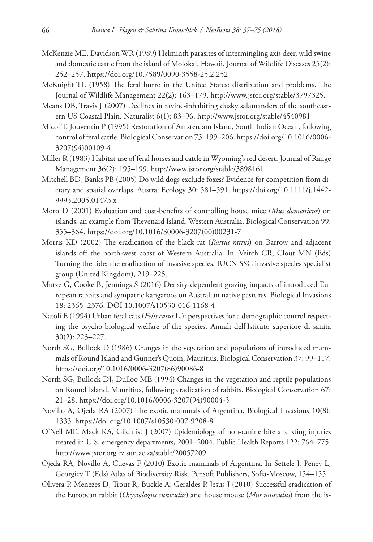- McKenzie ME, Davidson WR (1989) Helminth parasites of intermingling axis deer, wild swine and domestic cattle from the island of Molokai, Hawaii. Journal of Wildlife Diseases 25(2): 252–257.<https://doi.org/10.7589/0090-3558-25.2.252>
- McKnight TL (1958) The feral burro in the United States: distribution and problems. The Journal of Wildlife Management 22(2): 163–179. [http://www.jstor.org/stable/3797325.](http://www.jstor.org/stable/3797325)
- Means DB, Travis J (2007) Declines in ravine-inhabiting dusky salamanders of the southeastern US Coastal Plain. Naturalist 6(1): 83–96. <http://www.jstor.org/stable/4540981>
- Micol T, Jouventin P (1995) Restoration of Amsterdam Island, South Indian Ocean, following control of feral cattle. Biological Conservation 73: 199–206. [https://doi.org/10.1016/0006-](https://doi.org/10.1016/0006-3207(94)00109-4) [3207\(94\)00109-4](https://doi.org/10.1016/0006-3207(94)00109-4)
- Miller R (1983) Habitat use of feral horses and cattle in Wyoming's red desert. Journal of Range Management 36(2): 195–199.<http://www.jstor.org/stable/3898161>
- Mitchell BD, Banks PB (2005) Do wild dogs exclude foxes? Evidence for competition from dietary and spatial overlaps. Austral Ecology 30: 581–591. [https://doi.org/10.1111/j.1442-](https://doi.org/10.1111/j.1442-9993.2005.01473.x) [9993.2005.01473.x](https://doi.org/10.1111/j.1442-9993.2005.01473.x)
- Moro D (2001) Evaluation and cost-benefits of controlling house mice (*Mus domesticus*) on islands: an example from Thevenard Island, Western Australia. Biological Conservation 99: 355–364. [https://doi.org/10.1016/S0006-3207\(00\)00231-7](https://doi.org/10.1016/S0006-3207(00)00231-7)
- Morris KD (2002) The eradication of the black rat (*Rattus rattus*) on Barrow and adjacent islands off the north-west coast of Western Australia. In: Veitch CR, Clout MN (Eds) Turning the tide: the eradication of invasive species. IUCN SSC invasive species specialist group (United Kingdom), 219–225.
- Mutze G, Cooke B, Jennings S (2016) Density-dependent grazing impacts of introduced European rabbits and sympatric kangaroos on Australian native pastures. Biological Invasions 18: 2365–2376. [DOI 10.1007/s10530-016-1168-4](https://doi.org/10.1007/s10530-016-1168-4)
- Natoli E (1994) Urban feral cats (*Felis catus* L.): perspectives for a demographic control respecting the psycho-biological welfare of the species. Annali dell'Istituto superiore di sanita 30(2): 223–227.
- North SG, Bullock D (1986) Changes in the vegetation and populations of introduced mammals of Round Island and Gunner's Quoin, Mauritius. Biological Conservation 37: 99–117. [https://doi.org/10.1016/0006-3207\(86\)90086-8](https://doi.org/10.1016/0006-3207(86)90086-8)
- North SG, Bullock DJ, Dulloo ME (1994) Changes in the vegetation and reptile populations on Round Island, Mauritius, following eradication of rabbits. Biological Conservation 67: 21–28. [https://doi.org/10.1016/0006-3207\(94\)90004-3](https://doi.org/10.1016/0006-3207(94)90004-3)
- Novillo A, Ojeda RA (2007) The exotic mammals of Argentina. Biological Invasions 10(8): 1333.<https://doi.org/10.1007/s10530-007-9208-8>
- O'Neil ME, Mack KA, Gilchrist J (2007) Epidemiology of non-canine bite and sting injuries treated in U.S. emergency departments, 2001–2004. Public Health Reports 122: 764–775. <http://www.jstor.org.ez.sun.ac.za/stable/20057209>
- Ojeda RA, Novillo A, Cuevas F (2010) Exotic mammals of Argentina. In Settele J, Penev L, Georgiev T (Eds) Atlas of Biodiversity Risk. Pensoft Publishers, Sofia-Moscow, 154–155.
- Olivera P, Menezes D, Trout R, Buckle A, Geraldes P, Jesus J (2010) Successful eradication of the European rabbit (*Oryctolagus cuniculus*) and house mouse (*Mus musculus*) from the is-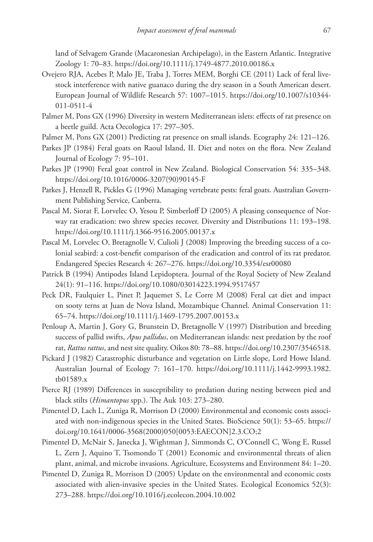land of Selvagem Grande (Macaronesian Archipelago), in the Eastern Atlantic. Integrative Zoology 1: 70–83.<https://doi.org/10.1111/j.1749-4877.2010.00186.x>

- Ovejero RJA, Acebes P, Malo JE, Traba J, Torres MEM, Borghi CE (2011) Lack of feral livestock interference with native guanaco during the dry season in a South American desert. European Journal of Wildlife Research 57: 1007–1015. [https://doi.org/10.1007/s10344-](https://doi.org/10.1007/s10344-011-0511-4) [011-0511-4](https://doi.org/10.1007/s10344-011-0511-4)
- Palmer M, Pons GX (1996) Diversity in western Mediterranean islets: effects of rat presence on a beetle guild. Acta Oecologica 17: 297–305.
- Palmer M, Pons GX (2001) Predicting rat presence on small islands. Ecography 24: 121–126.
- Parkes JP (1984) Feral goats on Raoul Island, II. Diet and notes on the flora. New Zealand Journal of Ecology 7: 95–101.
- Parkes JP (1990) Feral goat control in New Zealand. Biological Conservation 54: 335–348. [https://doi.org/10.1016/0006-3207\(90\)90145-F](https://doi.org/10.1016/0006-3207(90)90145-F)
- Parkes J, Henzell R, Pickles G (1996) Managing vertebrate pests: feral goats. Australian Government Publishing Service, Canberra.
- Pascal M, Siorat F, Lorvelec O, Yesou P, Simberloff D (2005) A pleasing consequence of Norway rat eradication: two shrew species recover. Diversity and Distributions 11: 193–198. <https://doi.org/10.1111/j.1366-9516.2005.00137.x>
- Pascal M, Lorvelec O, Bretagnolle V, Culioli J (2008) Improving the breeding success of a colonial seabird: a cost-benefit comparison of the eradication and control of its rat predator. Endangered Species Research 4: 267–276.<https://doi.org/10.3354/esr00080>
- Patrick B (1994) Antipodes Island Lepidoptera. Journal of the Royal Society of New Zealand 24(1): 91–116. <https://doi.org/10.1080/03014223.1994.9517457>
- Peck DR, Faulquier L, Pinet P, Jaquemet S, Le Corre M (2008) Feral cat diet and impact on sooty terns at Juan de Nova Island, Mozambique Channel. Animal Conservation 11: 65–74.<https://doi.org/10.1111/j.1469-1795.2007.00153.x>
- Penloup A, Martin J, Gory G, Brunstein D, Bretagnolle V (1997) Distribution and breeding success of pallid swifts, *Apus pallidus*, on Mediterranean islands: nest predation by the roof rat, *Rattus rattus*, and nest site quality. Oikos 80: 78–88. [https://doi.org/10.2307/3546518.](https://doi.org/10.2307/3546518)
- Pickard J (1982) Catastrophic disturbance and vegetation on Little slope, Lord Howe Island. Australian Journal of Ecology 7: 161–170. [https://doi.org/10.1111/j.1442-9993.1982.](https://doi.org/10.1111/j.1442-9993.1982.tb01589.x) [tb01589.x](https://doi.org/10.1111/j.1442-9993.1982.tb01589.x)
- Pierce RJ (1989) Differences in susceptibility to predation during nesting between pied and black stilts (*Himantopus* spp.). The Auk 103: 273–280.
- Pimentel D, Lach L, Zuniga R, Morrison D (2000) Environmental and economic costs associated with non-indigenous species in the United States. BioScience 50(1): 53–65. [https://](https://doi.org/10.1641/0006-3568(2000)050%5B0053:EAECON%5D2.3.CO;2) [doi.org/10.1641/0006-3568\(2000\)050\[0053:EAECON\]2.3.CO;2](https://doi.org/10.1641/0006-3568(2000)050%5B0053:EAECON%5D2.3.CO;2)
- Pimentel D, McNair S, Janecka J, Wightman J, Simmonds C, O'Connell C, Wong E, Russel L, Zern J, Aquino T, Tsomondo T (2001) Economic and environmental threats of alien plant, animal, and microbe invasions. Agriculture, Ecosystems and Environment 84: 1–20.
- Pimentel D, Zuniga R, Morrison D (2005) Update on the environmental and economic costs associated with alien-invasive species in the United States. Ecological Economics 52(3): 273–288.<https://doi.org/10.1016/j.ecolecon.2004.10.002>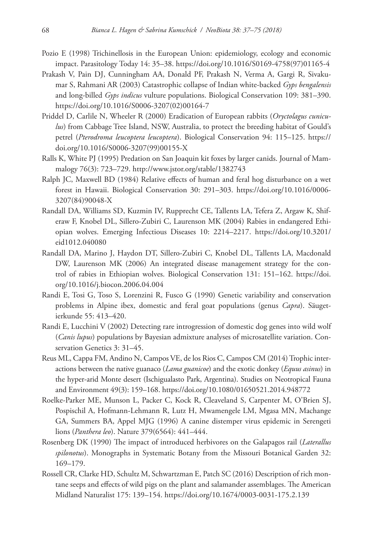- Pozio E (1998) Trichinellosis in the European Union: epidemiology, ecology and economic impact. Parasitology Today 14: 35–38. [https://doi.org/10.1016/S0169-4758\(97\)01165-4](https://doi.org/10.1016/S0169-4758(97)01165-4)
- Prakash V, Pain DJ, Cunningham AA, Donald PF, Prakash N, Verma A, Gargi R, Sivakumar S, Rahmani AR (2003) Catastrophic collapse of Indian white-backed *Gyps bengalensis* and long-billed *Gyps indicus* vulture populations. Biological Conservation 109: 381–390. [https://doi.org/10.1016/S0006-3207\(02\)00164-7](https://doi.org/10.1016/S0006-3207(02)00164-7)
- Priddel D, Carlile N, Wheeler R (2000) Eradication of European rabbits (*Oryctolagus cuniculus*) from Cabbage Tree Island, NSW, Australia, to protect the breeding habitat of Gould's petrel (*Pterodroma leucoptera leucoptera*). Biological Conservation 94: 115–125. [https://](https://doi.org/10.1016/S0006-3207(99)00155-X) [doi.org/10.1016/S0006-3207\(99\)00155-X](https://doi.org/10.1016/S0006-3207(99)00155-X)
- Ralls K, White PJ (1995) Predation on San Joaquin kit foxes by larger canids. Journal of Mammalogy 76(3): 723–729.<http://www.jstor.org/stable/1382743>
- Ralph JC, Maxwell BD (1984) Relative effects of human and feral hog disturbance on a wet forest in Hawaii. Biological Conservation 30: 291–303. [https://doi.org/10.1016/0006-](https://doi.org/10.1016/0006-3207(84)90048-X) [3207\(84\)90048-X](https://doi.org/10.1016/0006-3207(84)90048-X)
- Randall DA, Williams SD, Kuzmin IV, Rupprecht CE, Tallents LA, Tefera Z, Argaw K, Shiferaw F, Knobel DL, Sillero-Zubiri C, Laurenson MK (2004) Rabies in endangered Ethiopian wolves. Emerging Infectious Diseases 10: 2214–2217. [https://doi.org/10.3201/](https://doi.org/10.3201/eid1012.040080) [eid1012.040080](https://doi.org/10.3201/eid1012.040080)
- Randall DA, Marino J, Haydon DT, Sillero-Zubiri C, Knobel DL, Tallents LA, Macdonald DW, Laurenson MK (2006) An integrated disease management strategy for the control of rabies in Ethiopian wolves. Biological Conservation 131: 151–162. [https://doi.](https://doi.org/10.1016/j.biocon.2006.04.004) [org/10.1016/j.biocon.2006.04.004](https://doi.org/10.1016/j.biocon.2006.04.004)
- Randi E, Tosi G, Toso S, Lorenzini R, Fusco G (1990) Genetic variability and conservation problems in Alpine ibex, domestic and feral goat populations (genus *Capra*). Säugetierkunde 55: 413–420.
- Randi E, Lucchini V (2002) Detecting rare introgression of domestic dog genes into wild wolf (*Canis lupus*) populations by Bayesian admixture analyses of microsatellite variation. Conservation Genetics 3: 31–45.
- Reus ML, Cappa FM, Andino N, Campos VE, de los Rios C, Campos CM (2014) Trophic interactions between the native guanaco (*Lama guanicoe*) and the exotic donkey (*Equus asinus*) in the hyper-arid Monte desert (Ischigualasto Park, Argentina). Studies on Neotropical Fauna and Environment 49(3): 159–168.<https://doi.org/10.1080/01650521.2014.948772>
- Roelke-Parker ME, Munson L, Packer C, Kock R, Cleaveland S, Carpenter M, O'Brien SJ, Pospischil A, Hofmann-Lehmann R, Lutz H, Mwamengele LM, Mgasa MN, Machange GA, Summers BA, Appel MJG (1996) A canine distemper virus epidemic in Serengeti lions (*Panthera leo*). Nature 379(6564): 441–444.
- Rosenberg DK (1990) The impact of introduced herbivores on the Galapagos rail (*Laterallus spilonotus*). Monographs in Systematic Botany from the Missouri Botanical Garden 32: 169–179.
- Rossell CR, Clarke HD, Schultz M, Schwartzman E, Patch SC (2016) Description of rich montane seeps and effects of wild pigs on the plant and salamander assemblages. The American Midland Naturalist 175: 139–154.<https://doi.org/10.1674/0003-0031-175.2.139>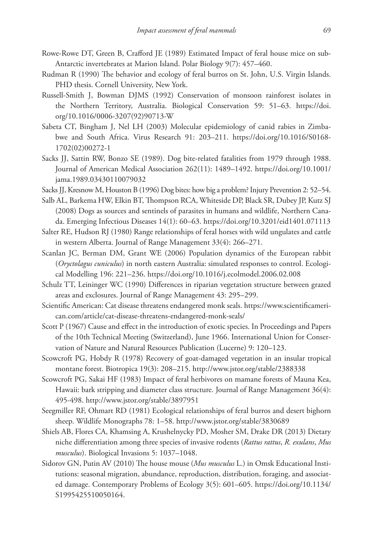- Rowe-Rowe DT, Green B, Crafford JE (1989) Estimated Impact of feral house mice on sub-Antarctic invertebrates at Marion Island. Polar Biology 9(7): 457–460.
- Rudman R (1990) The behavior and ecology of feral burros on St. John, U.S. Virgin Islands. PHD thesis. Cornell University, New York.
- Russell-Smith J, Bowman DJMS (1992) Conservation of monsoon rainforest isolates in the Northern Territory, Australia. Biological Conservation 59: 51–63. [https://doi.](https://doi.org/10.1016/0006-3207(92)90713-W) [org/10.1016/0006-3207\(92\)90713-W](https://doi.org/10.1016/0006-3207(92)90713-W)
- Sabeta CT, Bingham J, Nel LH (2003) Molecular epidemiology of canid rabies in Zimbabwe and South Africa. Virus Research 91: 203–211. [https://doi.org/10.1016/S0168-](https://doi.org/10.1016/S0168-1702(02)00272-1) [1702\(02\)00272-1](https://doi.org/10.1016/S0168-1702(02)00272-1)
- Sacks JJ, Sattin RW, Bonzo SE (1989). Dog bite-related fatalities from 1979 through 1988. Journal of American Medical Association 262(11): 1489–1492. [https://doi.org/10.1001/](https://doi.org/10.1001/jama.1989.03430110079032) [jama.1989.03430110079032](https://doi.org/10.1001/jama.1989.03430110079032)
- Sacks JJ, Kresnow M, Houston B (1996) Dog bites: how big a problem? Injury Prevention 2: 52–54.
- Salb AL, Barkema HW, Elkin BT, Thompson RCA, Whiteside DP, Black SR, Dubey JP, Kutz SJ (2008) Dogs as sources and sentinels of parasites in humans and wildlife, Northern Canada. Emerging Infectious Diseases 14(1): 60–63.<https://doi.org/10.3201/eid1401.071113>
- Salter RE, Hudson RJ (1980) Range relationships of feral horses with wild ungulates and cattle in western Alberta. Journal of Range Management 33(4): 266–271.
- Scanlan JC, Berman DM, Grant WE (2006) Population dynamics of the European rabbit (*Oryctolagus cuniculus*) in north eastern Australia: simulated responses to control. Ecological Modelling 196: 221–236. <https://doi.org/10.1016/j.ecolmodel.2006.02.008>
- Schulz TT, Leininger WC (1990) Differences in riparian vegetation structure between grazed areas and exclosures. Journal of Range Management 43: 295–299.
- Scientific American: Cat disease threatens endangered monk seals. [https://www.scientificameri](https://www.scientificamerican.com/article/cat-disease-threatens-endangered-monk-seals/)[can.com/article/cat-disease-threatens-endangered-monk-seals/](https://www.scientificamerican.com/article/cat-disease-threatens-endangered-monk-seals/)
- Scott P (1967) Cause and effect in the introduction of exotic species. In Proceedings and Papers of the 10th Technical Meeting (Switzerland), June 1966. International Union for Conservation of Nature and Natural Resources Publication (Lucerne) 9: 120–123.
- Scowcroft PG, Hobdy R (1978) Recovery of goat-damaged vegetation in an insular tropical montane forest. Biotropica 19(3): 208–215. <http://www.jstor.org/stable/2388338>
- Scowcroft PG, Sakai HF (1983) Impact of feral herbivores on mamane forests of Mauna Kea, Hawaii: bark stripping and diameter class structure. Journal of Range Management 36(4): 495-498. <http://www.jstor.org/stable/3897951>
- Seegmiller RF, Ohmart RD (1981) Ecological relationships of feral burros and desert bighorn sheep. Wildlife Monographs 78: 1–58.<http://www.jstor.org/stable/3830689>
- Shiels AB, Flores CA, Khamsing A, Krushelnycky PD, Mosher SM, Drake DR (2013) Dietary niche differentiation among three species of invasive rodents (*Rattus rattus*, *R. exulans*, *Mus musculus*). Biological Invasions 5: 1037–1048.
- Sidorov GN, Putin AV (2010) The house mouse (*Mus musculus* L.) in Omsk Educational Institutions: seasonal migration, abundance, reproduction, distribution, foraging, and associated damage. Contemporary Problems of Ecology 3(5): 601–605. [https://doi.org/10.1134/](https://doi.org/10.1134/S1995425510050164) [S1995425510050164](https://doi.org/10.1134/S1995425510050164).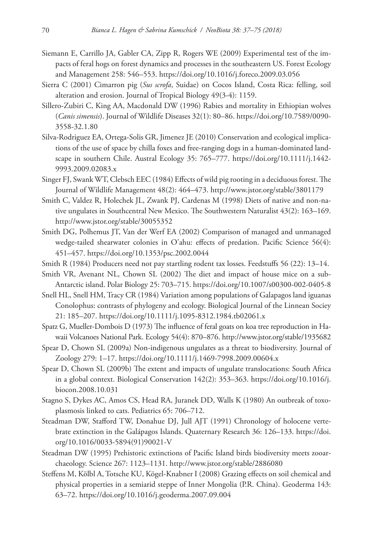- Siemann E, Carrillo JA, Gabler CA, Zipp R, Rogers WE (2009) Experimental test of the impacts of feral hogs on forest dynamics and processes in the southeastern US. Forest Ecology and Management 258: 546–553. <https://doi.org/10.1016/j.foreco.2009.03.056>
- Sierra C (2001) Cimarron pig (*Sus scrofa*, Suidae) on Cocos Island, Costa Rica: felling, soil alteration and erosion. Journal of Tropical Biology 49(3-4): 1159.
- Sillero-Zubiri C, King AA, Macdonald DW (1996) Rabies and mortality in Ethiopian wolves (*Canis simensis*). Journal of Wildlife Diseases 32(1): 80–86. [https://doi.org/10.7589/0090-](https://doi.org/10.7589/0090-3558-32.1.80) [3558-32.1.80](https://doi.org/10.7589/0090-3558-32.1.80)
- Silva-Rodriguez EA, Ortega-Solis GR, Jimenez JE (2010) Conservation and ecological implications of the use of space by chilla foxes and free-ranging dogs in a human-dominated landscape in southern Chile. Austral Ecology 35: 765–777. [https://doi.org/10.1111/j.1442-](https://doi.org/10.1111/j.1442-9993.2009.02083.x) [9993.2009.02083.x](https://doi.org/10.1111/j.1442-9993.2009.02083.x)
- Singer FJ, Swank WT, Clebsch EEC (1984) Effects of wild pig rooting in a deciduous forest. The Journal of Wildlife Management 48(2): 464–473.<http://www.jstor.org/stable/3801179>
- Smith C, Valdez R, Holechek JL, Zwank PJ, Cardenas M (1998) Diets of native and non-native ungulates in Southcentral New Mexico. The Southwestern Naturalist 43(2): 163–169. <http://www.jstor.org/stable/30055352>
- Smith DG, Polhemus JT, Van der Werf EA (2002) Comparison of managed and unmanaged wedge-tailed shearwater colonies in O'ahu: effects of predation. Pacific Science 56(4): 451–457.<https://doi.org/10.1353/psc.2002.0044>
- Smith R (1984) Producers need not pay startling rodent tax losses. Feedstuffs 56 (22): 13–14.
- Smith VR, Avenant NL, Chown SL (2002) The diet and impact of house mice on a sub-Antarctic island. Polar Biology 25: 703–715.<https://doi.org/10.1007/s00300-002-0405-8>
- Snell HL, Snell HM, Tracy CR (1984) Variation among populations of Galapagos land iguanas Conolophus: contrasts of phylogeny and ecology. Biological Journal of the Linnean Sociey 21: 185–207.<https://doi.org/10.1111/j.1095-8312.1984.tb02061.x>
- Spatz G, Mueller-Dombois D (1973) The influence of feral goats on koa tree reproduction in Hawaii Volcanoes National Park. Ecology 54(4): 870–876. <http://www.jstor.org/stable/1935682>
- Spear D, Chown SL (2009a) Non-indigenous ungulates as a threat to biodiversity. Journal of Zoology 279: 1–17.<https://doi.org/10.1111/j.1469-7998.2009.00604.x>
- Spear D, Chown SL (2009b) The extent and impacts of ungulate translocations: South Africa in a global context. Biological Conservation 142(2): 353–363. [https://doi.org/10.1016/j.](https://doi.org/10.1016/j.biocon.2008.10.031) [biocon.2008.10.031](https://doi.org/10.1016/j.biocon.2008.10.031)
- Stagno S, Dykes AC, Amos CS, Head RA, Juranek DD, Walls K (1980) An outbreak of toxoplasmosis linked to cats. Pediatrics 65: 706–712.
- Steadman DW, Stafford TW, Donahue DJ, Jull AJT (1991) Chronology of holocene vertebrate extinction in the Galápagos Islands. Quaternary Research 36: 126–133. [https://doi.](https://doi.org/10.1016/0033-5894(91)90021-V) [org/10.1016/0033-5894\(91\)90021-V](https://doi.org/10.1016/0033-5894(91)90021-V)
- Steadman DW (1995) Prehistoric extinctions of Pacific Island birds biodiversity meets zooarchaeology. Science 267: 1123–1131. <http://www.jstor.org/stable/2886080>
- Steffens M, Kölbl A, Totsche KU, Kögel-Knabner I (2008) Grazing effects on soil chemical and physical properties in a semiarid steppe of Inner Mongolia (P.R. China). Geoderma 143: 63–72.<https://doi.org/10.1016/j.geoderma.2007.09.004>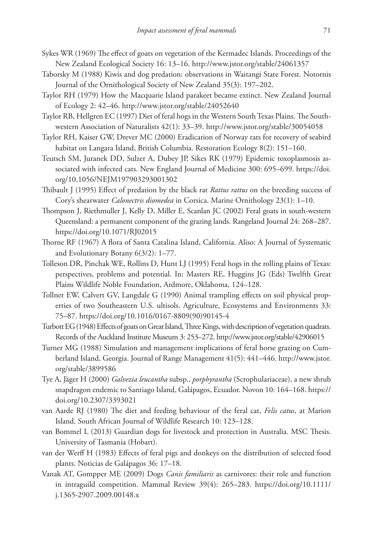- Sykes WR (1969) The effect of goats on vegetation of the Kermadec Islands. Proceedings of the New Zealand Ecological Society 16: 13–16. <http://www.jstor.org/stable/24061357>
- Taborsky M (1988) Kiwis and dog predation: observations in Waitangi State Forest. Notornis Journal of the Ornithological Society of New Zealand 35(3): 197–202.
- Taylor RH (1979) How the Macquarie Island parakeet became extinct. New Zealand Journal of Ecology 2: 42–46.<http://www.jstor.org/stable/24052640>
- Taylor RB, Hellgren EC (1997) Diet of feral hogs in the Western South Texas Plains. The Southwestern Association of Naturalists 42(1): 33–39. <http://www.jstor.org/stable/30054058>
- Taylor RH, Kaiser GW, Drever MC (2000) Eradication of Norway rats for recovery of seabird habitat on Langara Island, British Columbia. Restoration Ecology 8(2): 151–160.
- Teutsch SM, Juranek DD, Sulzer A, Dubey JP, Sikes RK (1979) Epidemic toxoplasmosis associated with infected cats. New England Journal of Medicine 300: 695–699. [https://doi.](https://doi.org/10.1056/NEJM197903293001302) [org/10.1056/NEJM197903293001302](https://doi.org/10.1056/NEJM197903293001302)
- Thibault J (1995) Effect of predation by the black rat *Rattus rattus* on the breeding success of Cory's shearwater *Calonectris diomedea* in Corsica. Marine Ornithology 23(1): 1–10.
- Thompson J, Riethmuller J, Kelly D, Miller E, Scanlan JC (2002) Feral goats in south-western Queensland: a permanent component of the grazing lands. Rangeland Journal 24: 268–287. <https://doi.org/10.1071/RJ02015>
- Thorne RF (1967) A flora of Santa Catalina Island, California. Aliso: A Journal of Systematic and Evolutionary Botany 6(3/2): 1–77.
- Tolleson DR, Pinchak WE, Rollins D, Hunt LJ (1995) Feral hogs in the rolling plains of Texas: perspectives, problems and potential. In: Masters RE, Huggins JG (Eds) Twelfth Great Plains Wildlife Noble Foundation, Ardmore, Oklahoma, 124–128.
- Tollner EW, Calvert GV, Langdale G (1990) Animal trampling effects on soil physical properties of two Southeastern U.S. ultisols. Agriculture, Ecosystems and Environments 33: 75–87. [https://doi.org/10.1016/0167-8809\(90\)90145-4](https://doi.org/10.1016/0167-8809(90)90145-4)
- Turbott EG (1948) Effects of goats on Great Island, Three Kings, with description of vegetation quadrats. Records of the Auckland Institute Museum 3: 253–272. <http://www.jstor.org/stable/42906015>
- Turner MG (1988) Simulation and management implications of feral horse grazing on Cumberland Island, Georgia. Journal of Range Management 41(5): 441–446. [http://www.jstor.](http://www.jstor.org/stable/3899586) [org/stable/3899586](http://www.jstor.org/stable/3899586)
- Tye A, Jäger H (2000) *Galvezia leucantha* subsp., *porphyrantha* (Scrophulariaceae), a new shrub snapdragon endemic to Santiago Island, Galápagos, Ecuador. Novon 10: 164–168. [https://](https://doi.org/10.2307/3393021) [doi.org/10.2307/3393021](https://doi.org/10.2307/3393021)
- van Aarde RJ (1980) The diet and feeding behaviour of the feral cat, *Felis catus*, at Marion Island. South African Journal of Wildlife Research 10: 123–128.
- van Bommel L (2013) Guardian dogs for livestock and protection in Australia. MSC Thesis. University of Tasmania (Hobart).
- van der Werff H (1983) Effects of feral pigs and donkeys on the distribution of selected food plants. Noticias de Galápagos 36: 17–18.
- Vanak AT, Gompper ME (2009) Dogs *Canis familiaris* as carnivores: their role and function in intraguild competition. Mammal Review 39(4): 265–283. [https://doi.org/10.1111/](https://doi.org/10.1111/j.1365-2907.2009.00148.x) [j.1365-2907.2009.00148.x](https://doi.org/10.1111/j.1365-2907.2009.00148.x)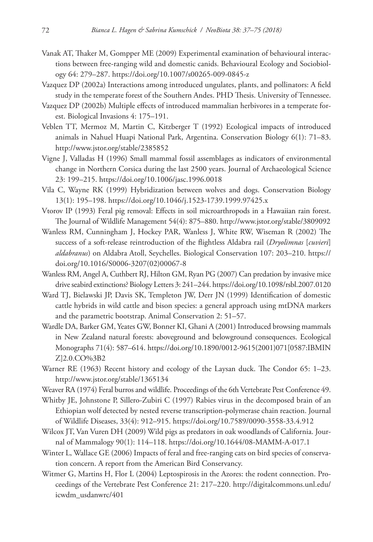- Vanak AT, Thaker M, Gompper ME (2009) Experimental examination of behavioural interactions between free-ranging wild and domestic canids. Behavioural Ecology and Sociobiology 64: 279–287. <https://doi.org/10.1007/s00265-009-0845-z>
- Vazquez DP (2002a) Interactions among introduced ungulates, plants, and pollinators: A field study in the temperate forest of the Southern Andes. PHD Thesis. University of Tennessee.
- Vazquez DP (2002b) Multiple effects of introduced mammalian herbivores in a temperate forest. Biological Invasions 4: 175–191.
- Veblen TT, Mermoz M, Martin C, Kitzberger T (1992) Ecological impacts of introduced animals in Nahuel Huapi National Park, Argentina. Conservation Biology 6(1): 71–83. <http://www.jstor.org/stable/2385852>
- Vigne J, Valladas H (1996) Small mammal fossil assemblages as indicators of environmental change in Northern Corsica during the last 2500 years. Journal of Archaeological Science 23: 199–215.<https://doi.org/10.1006/jasc.1996.0018>
- Vila C, Wayne RK (1999) Hybridization between wolves and dogs. Conservation Biology 13(1): 195–198. <https://doi.org/10.1046/j.1523-1739.1999.97425.x>
- Vtorov IP (1993) Feral pig removal: Effects in soil microarthropods in a Hawaiian rain forest. The Journal of Wildlife Management 54(4): 875–880.<http://www.jstor.org/stable/3809092>
- Wanless RM, Cunningham J, Hockey PAR, Wanless J, White RW, Wiseman R (2002) The success of a soft-release reintroduction of the flightless Aldabra rail (*Dryolimnas* [*cuvieri*] *aldabranus*) on Aldabra Atoll, Seychelles. Biological Conservation 107: 203–210. [https://](https://doi.org/10.1016/S0006-3207(02)00067-8) [doi.org/10.1016/S0006-3207\(02\)00067-8](https://doi.org/10.1016/S0006-3207(02)00067-8)
- Wanless RM, Angel A, Cuthbert RJ, Hilton GM, Ryan PG (2007) Can predation by invasive mice drive seabird extinctions? Biology Letters 3: 241–244.<https://doi.org/10.1098/rsbl.2007.0120>
- Ward TJ, Bielawski JP, Davis SK, Templeton JW, Derr JN (1999) Identification of domestic cattle hybrids in wild cattle and bison species: a general approach using mtDNA markers and the parametric bootstrap. Animal Conservation 2: 51–57.
- Wardle DA, Barker GM, Yeates GW, Bonner KI, Ghani A (2001) Introduced browsing mammals in New Zealand natural forests: aboveground and belowground consequences. Ecological Monographs 71(4): 587–614. [https://doi.org/10.1890/0012-9615\(2001\)071\[0587:IBMIN](https://doi.org/10.1890/0012-9615(2001)071%5B0587:IBMINZ%5D2.0.CO;2) [Z\]2.0.CO%3B2](https://doi.org/10.1890/0012-9615(2001)071%5B0587:IBMINZ%5D2.0.CO;2)
- Warner RE (1963) Recent history and ecology of the Laysan duck. The Condor 65: 1–23. <http://www.jstor.org/stable/1365134>
- Weaver RA (1974) Feral burros and wildlife. Proceedings of the 6th Vertebrate Pest Conference 49.
- Whitby JE, Johnstone P, Sillero-Zubiri C (1997) Rabies virus in the decomposed brain of an Ethiopian wolf detected by nested reverse transcription-polymerase chain reaction. Journal of Wildlife Diseases, 33(4): 912–915. <https://doi.org/10.7589/0090-3558-33.4.912>
- Wilcox JT, Van Vuren DH (2009) Wild pigs as predators in oak woodlands of California. Journal of Mammalogy 90(1): 114–118. <https://doi.org/10.1644/08-MAMM-A-017.1>
- Winter L, Wallace GE (2006) Impacts of feral and free-ranging cats on bird species of conservation concern. A report from the American Bird Conservancy.
- Witmer G, Martins H, Flor L (2004) Leptospirosis in the Azores: the rodent connection. Proceedings of the Vertebrate Pest Conference 21: 217–220. [http://digitalcommons.unl.edu/](http://digitalcommons.unl.edu/icwdm_usdanwrc/401) [icwdm\\_usdanwrc/401](http://digitalcommons.unl.edu/icwdm_usdanwrc/401)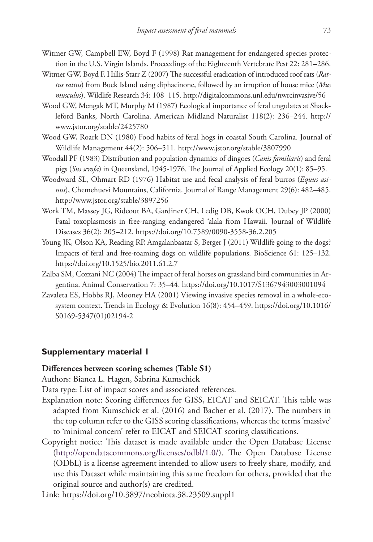- Witmer GW, Campbell EW, Boyd F (1998) Rat management for endangered species protection in the U.S. Virgin Islands. Proceedings of the Eighteenth Vertebrate Pest 22: 281–286.
- Witmer GW, Boyd F, Hillis-Starr Z (2007) The successful eradication of introduced roof rats (*Rattus rattus*) from Buck Island using diphacinone, followed by an irruption of house mice (*Mus musculus*). Wildlife Research 34: 108–115.<http://digitalcommons.unl.edu/nwrcinvasive/56>
- Wood GW, Mengak MT, Murphy M (1987) Ecological importance of feral ungulates at Shackleford Banks, North Carolina. American Midland Naturalist 118(2): 236–244. [http://](http://www.jstor.org/stable/2425780) [www.jstor.org/stable/2425780](http://www.jstor.org/stable/2425780)
- Wood GW, Roark DN (1980) Food habits of feral hogs in coastal South Carolina. Journal of Wildlife Management 44(2): 506–511.<http://www.jstor.org/stable/3807990>
- Woodall PF (1983) Distribution and population dynamics of dingoes (*Canis familiaris*) and feral pigs (*Sus scrofa*) in Queensland, 1945-1976. The Journal of Applied Ecology 20(1): 85–95.
- Woodward SL, Ohmart RD (1976) Habitat use and fecal analysis of feral burros (*Equus asinus*), Chemehuevi Mountains, California. Journal of Range Management 29(6): 482–485. <http://www.jstor.org/stable/3897256>
- Work TM, Massey JG, Rideout BA, Gardiner CH, Ledig DB, Kwok OCH, Dubey JP (2000) Fatal toxoplasmosis in free-ranging endangered 'alala from Hawaii. Journal of Wildlife Diseases 36(2): 205–212.<https://doi.org/10.7589/0090-3558-36.2.205>
- Young JK, Olson KA, Reading RP, Amgalanbaatar S, Berger J (2011) Wildlife going to the dogs? Impacts of feral and free-roaming dogs on wildlife populations. BioScience 61: 125–132. <https://doi.org/10.1525/bio.2011.61.2.7>
- Zalba SM, Cozzani NC (2004) The impact of feral horses on grassland bird communities in Argentina. Animal Conservation 7: 35–44.<https://doi.org/10.1017/S1367943003001094>
- Zavaleta ES, Hobbs RJ, Mooney HA (2001) Viewing invasive species removal in a whole-ecosystem context. Trends in Ecology & Evolution 16(8): 454–459. [https://doi.org/10.1016/](https://doi.org/10.1016/S0169-5347(01)02194-2) [S0169-5347\(01\)02194-2](https://doi.org/10.1016/S0169-5347(01)02194-2)

### **Supplementary material 1**

#### **Differences between scoring schemes (Table S1)**

Authors: Bianca L. Hagen, Sabrina Kumschick

Data type: List of impact scores and associated references.

- Explanation note: Scoring differences for GISS, EICAT and SEICAT. This table was adapted from Kumschick et al. (2016) and Bacher et al. (2017). The numbers in the top column refer to the GISS scoring classifications, whereas the terms 'massive' to 'minimal concern' refer to EICAT and SEICAT scoring classifications.
- Copyright notice: This dataset is made available under the Open Database License [\(http://opendatacommons.org/licenses/odbl/1.0/](http://opendatacommons.org/licenses/odbl/1.0/)). The Open Database License (ODbL) is a license agreement intended to allow users to freely share, modify, and use this Dataset while maintaining this same freedom for others, provided that the original source and author(s) are credited.

Link: <https://doi.org/10.3897/neobiota.38.23509.suppl1>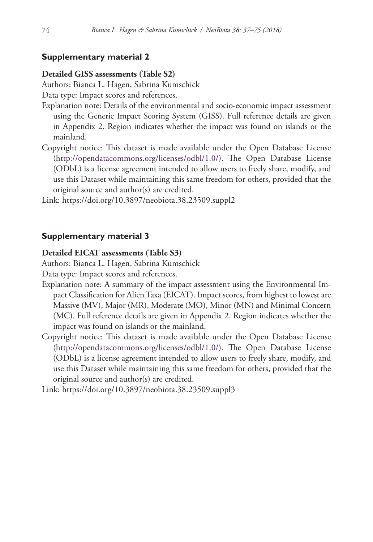### **Supplementary material 2**

#### **Detailed GISS assessments (Table S2)**

Authors: Bianca L. Hagen, Sabrina Kumschick

Data type: Impact scores and references.

- Explanation note: Details of the environmental and socio-economic impact assessment using the Generic Impact Scoring System (GISS). Full reference details are given in Appendix 2. Region indicates whether the impact was found on islands or the mainland.
- Copyright notice: This dataset is made available under the Open Database License [\(http://opendatacommons.org/licenses/odbl/1.0/](http://opendatacommons.org/licenses/odbl/1.0/)). The Open Database License (ODbL) is a license agreement intended to allow users to freely share, modify, and use this Dataset while maintaining this same freedom for others, provided that the original source and author(s) are credited.

Link: <https://doi.org/10.3897/neobiota.38.23509.suppl2>

### **Supplementary material 3**

#### **Detailed EICAT assessments (Table S3)**

Authors: Bianca L. Hagen, Sabrina Kumschick

Data type: Impact scores and references.

- Explanation note: A summary of the impact assessment using the Environmental Impact Classification for Alien Taxa (EICAT). Impact scores, from highest to lowest are Massive (MV), Major (MR), Moderate (MO), Minor (MN) and Minimal Concern (MC). Full reference details are given in Appendix 2. Region indicates whether the impact was found on islands or the mainland.
- Copyright notice: This dataset is made available under the Open Database License [\(http://opendatacommons.org/licenses/odbl/1.0/](http://opendatacommons.org/licenses/odbl/1.0/)). The Open Database License (ODbL) is a license agreement intended to allow users to freely share, modify, and use this Dataset while maintaining this same freedom for others, provided that the original source and author(s) are credited.

Link: <https://doi.org/10.3897/neobiota.38.23509.suppl3>